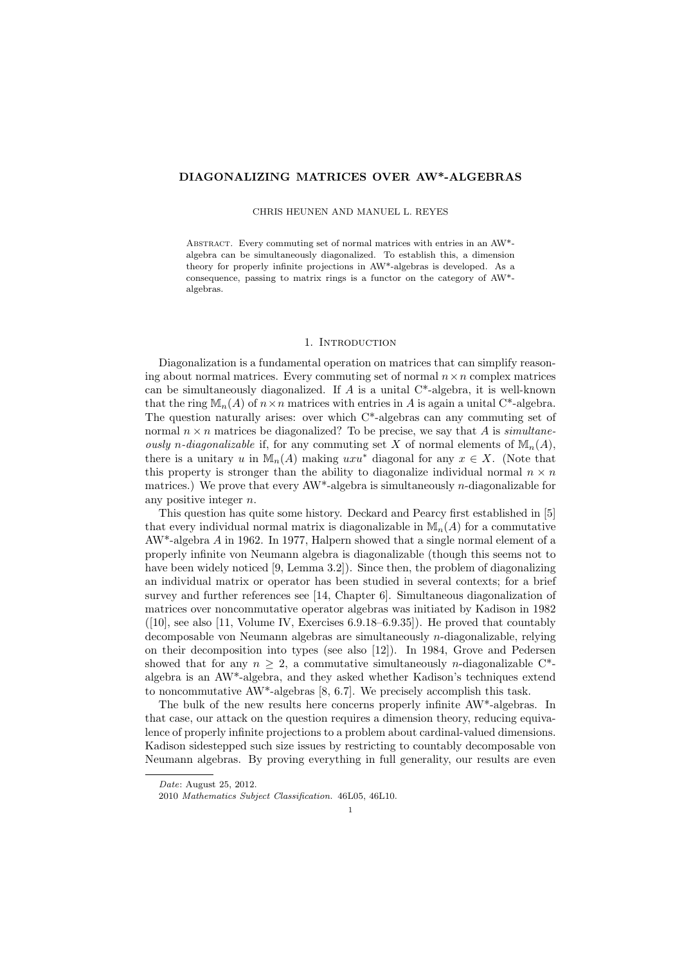## DIAGONALIZING MATRICES OVER AW\*-ALGEBRAS

### CHRIS HEUNEN AND MANUEL L. REYES

ABSTRACT. Every commuting set of normal matrices with entries in an AW\*algebra can be simultaneously diagonalized. To establish this, a dimension theory for properly infinite projections in AW\*-algebras is developed. As a consequence, passing to matrix rings is a functor on the category of AW\* algebras.

## 1. INTRODUCTION

Diagonalization is a fundamental operation on matrices that can simplify reasoning about normal matrices. Every commuting set of normal  $n \times n$  complex matrices can be simultaneously diagonalized. If  $A$  is a unital  $C^*$ -algebra, it is well-known that the ring  $\mathbb{M}_n(A)$  of  $n \times n$  matrices with entries in A is again a unital C<sup>\*</sup>-algebra. The question naturally arises: over which  $C^*$ -algebras can any commuting set of normal  $n \times n$  matrices be diagonalized? To be precise, we say that A is simultaneously n-diagonalizable if, for any commuting set X of normal elements of  $\mathbb{M}_{n}(A)$ , there is a unitary u in  $M_n(A)$  making uxu<sup>\*</sup> diagonal for any  $x \in X$ . (Note that this property is stronger than the ability to diagonalize individual normal  $n \times n$ matrices.) We prove that every  $AW^*$ -algebra is simultaneously *n*-diagonalizable for any positive integer n.

This question has quite some history. Deckard and Pearcy first established in [5] that every individual normal matrix is diagonalizable in  $\mathbb{M}_n(A)$  for a commutative  $AW^*$ -algebra A in 1962. In 1977, Halpern showed that a single normal element of a properly infinite von Neumann algebra is diagonalizable (though this seems not to have been widely noticed [9, Lemma 3.2]). Since then, the problem of diagonalizing an individual matrix or operator has been studied in several contexts; for a brief survey and further references see [14, Chapter 6]. Simultaneous diagonalization of matrices over noncommutative operator algebras was initiated by Kadison in 1982  $([10],$  see also [11, Volume IV, Exercises 6.9.18–6.9.35]). He proved that countably decomposable von Neumann algebras are simultaneously n-diagonalizable, relying on their decomposition into types (see also [12]). In 1984, Grove and Pedersen showed that for any  $n \geq 2$ , a commutative simultaneously *n*-diagonalizable C<sup>\*</sup>algebra is an AW\*-algebra, and they asked whether Kadison's techniques extend to noncommutative AW\*-algebras [8, 6.7]. We precisely accomplish this task.

The bulk of the new results here concerns properly infinite AW\*-algebras. In that case, our attack on the question requires a dimension theory, reducing equivalence of properly infinite projections to a problem about cardinal-valued dimensions. Kadison sidestepped such size issues by restricting to countably decomposable von Neumann algebras. By proving everything in full generality, our results are even

Date: August 25, 2012.

<sup>2010</sup> Mathematics Subject Classification. 46L05, 46L10.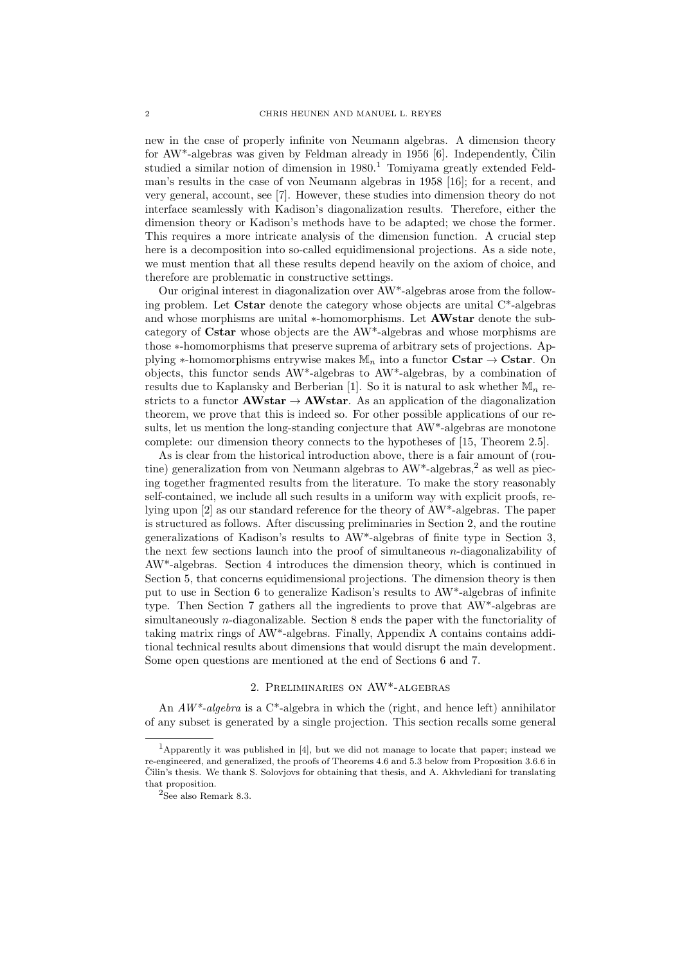new in the case of properly infinite von Neumann algebras. A dimension theory for  $AW^*$ -algebras was given by Feldman already in 1956 [6]. Independently, Cilin studied a similar notion of dimension in  $1980<sup>1</sup>$  Tomiyama greatly extended Feldman's results in the case of von Neumann algebras in 1958 [16]; for a recent, and very general, account, see [7]. However, these studies into dimension theory do not interface seamlessly with Kadison's diagonalization results. Therefore, either the dimension theory or Kadison's methods have to be adapted; we chose the former. This requires a more intricate analysis of the dimension function. A crucial step here is a decomposition into so-called equidimensional projections. As a side note, we must mention that all these results depend heavily on the axiom of choice, and therefore are problematic in constructive settings.

Our original interest in diagonalization over AW\*-algebras arose from the following problem. Let Cstar denote the category whose objects are unital C\*-algebras and whose morphisms are unital ∗-homomorphisms. Let **AWstar** denote the subcategory of Cstar whose objects are the AW\*-algebras and whose morphisms are those ∗-homomorphisms that preserve suprema of arbitrary sets of projections. Applying \*-homomorphisms entrywise makes  $\mathbb{M}_n$  into a functor  $\mathbf{Cstar} \to \mathbf{Cstar}$ . On objects, this functor sends AW\*-algebras to AW\*-algebras, by a combination of results due to Kaplansky and Berberian [1]. So it is natural to ask whether  $\mathbb{M}_n$  restricts to a functor  $AWstar \rightarrow AWstar$ . As an application of the diagonalization theorem, we prove that this is indeed so. For other possible applications of our results, let us mention the long-standing conjecture that AW\*-algebras are monotone complete: our dimension theory connects to the hypotheses of [15, Theorem 2.5].

As is clear from the historical introduction above, there is a fair amount of (routine) generalization from von Neumann algebras to  $AW^*$ -algebras,<sup>2</sup> as well as piecing together fragmented results from the literature. To make the story reasonably self-contained, we include all such results in a uniform way with explicit proofs, relying upon [2] as our standard reference for the theory of AW\*-algebras. The paper is structured as follows. After discussing preliminaries in Section 2, and the routine generalizations of Kadison's results to AW\*-algebras of finite type in Section 3, the next few sections launch into the proof of simultaneous n-diagonalizability of AW\*-algebras. Section 4 introduces the dimension theory, which is continued in Section 5, that concerns equidimensional projections. The dimension theory is then put to use in Section 6 to generalize Kadison's results to AW\*-algebras of infinite type. Then Section 7 gathers all the ingredients to prove that AW\*-algebras are simultaneously  $n$ -diagonalizable. Section 8 ends the paper with the functoriality of taking matrix rings of AW\*-algebras. Finally, Appendix A contains contains additional technical results about dimensions that would disrupt the main development. Some open questions are mentioned at the end of Sections 6 and 7.

# 2. Preliminaries on AW\*-algebras

An  $AW^*$ -algebra is a C<sup>\*</sup>-algebra in which the (right, and hence left) annihilator of any subset is generated by a single projection. This section recalls some general

<sup>1</sup>Apparently it was published in [4], but we did not manage to locate that paper; instead we re-engineered, and generalized, the proofs of Theorems 4.6 and 5.3 below from Proposition 3.6.6 in Čilin's thesis. We thank S. Solovjovs for obtaining that thesis, and A. Akhvlediani for translating that proposition.

<sup>2</sup>See also Remark 8.3.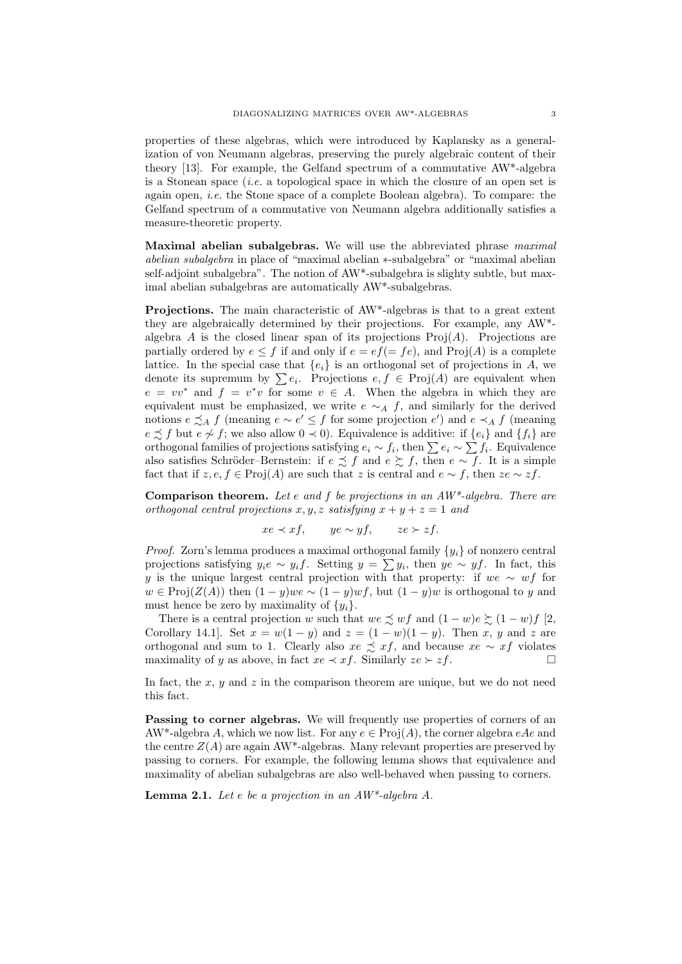properties of these algebras, which were introduced by Kaplansky as a generalization of von Neumann algebras, preserving the purely algebraic content of their theory [13]. For example, the Gelfand spectrum of a commutative AW\*-algebra is a Stonean space  $(i.e.$  a topological space in which the closure of an open set is again open, *i.e.* the Stone space of a complete Boolean algebra). To compare: the Gelfand spectrum of a commutative von Neumann algebra additionally satisfies a measure-theoretic property.

Maximal abelian subalgebras. We will use the abbreviated phrase *maximal* abelian subalgebra in place of "maximal abelian ∗-subalgebra" or "maximal abelian self-adjoint subalgebra". The notion of AW\*-subalgebra is slighty subtle, but maximal abelian subalgebras are automatically AW\*-subalgebras.

Projections. The main characteristic of AW\*-algebras is that to a great extent they are algebraically determined by their projections. For example, any AW\* algebra A is the closed linear span of its projections  $\text{Proj}(A)$ . Projections are partially ordered by  $e \leq f$  if and only if  $e = ef (= fe)$ , and  $Proj(A)$  is a complete lattice. In the special case that  ${e_i}$  is an orthogonal set of projections in A, we denote its supremum by  $\sum e_i$ . Projections  $e, f \in \text{Proj}(A)$  are equivalent when  $e = vv^*$  and  $f = v^*v$  for some  $v \in A$ . When the algebra in which they are equivalent must be emphasized, we write  $e \sim_A f$ , and similarly for the derived notions  $e \precsim_A f$  (meaning  $e \sim e' \leq f$  for some projection  $e'$ ) and  $e \prec_A f$  (meaning  $e \precsim f$  but  $e \not\sim f$ ; we also allow  $0 \prec 0$ ). Equivalence is additive: if  $\{e_i\}$  and  $\{f_i\}$  are orthogonal families of projections satisfying  $e_i \sim f_i$ , then  $\sum e_i \sim \sum f_i$ . Equivalence also satisfies Schröder–Bernstein: if  $e \precsim f$  and  $e \succeq f$ , then  $e \sim f$ . It is a simple fact that if  $z, e, f \in \text{Proj}(A)$  are such that z is central and  $e \sim f$ , then  $ze \sim zf$ .

**Comparison theorem.** Let e and  $f$  be projections in an  $AW^*$ -algebra. There are orthogonal central projections x, y, z satisfying  $x + y + z = 1$  and

$$
xe \prec xf, \qquad ye \sim yf, \qquad ze \succ zf.
$$

*Proof.* Zorn's lemma produces a maximal orthogonal family  $\{y_i\}$  of nonzero central projections satisfying  $y_i e \sim y_i f$ . Setting  $y = \sum y_i$ , then  $ye \sim yf$ . In fact, this y is the unique largest central projection with that property: if we ∼ wf for  $w \in \text{Proj}(Z(A))$  then  $(1 - y)we \sim (1 - y)wf$ , but  $(1 - y)w$  is orthogonal to y and must hence be zero by maximality of  $\{y_i\}$ .

There is a central projection w such that we  $\precsim wf$  and  $(1-w)e \succsim (1-w)f$  [2, Corollary 14.1]. Set  $x = w(1 - y)$  and  $z = (1 - w)(1 - y)$ . Then x, y and z are orthogonal and sum to 1. Clearly also  $xe \preceq xf$ , and because  $xe \sim xf$  violates maximality of y as above, in fact  $xe \prec xf$ . Similarly  $ze \succ zf$ .

In fact, the x, y and z in the comparison theorem are unique, but we do not need this fact.

Passing to corner algebras. We will frequently use properties of corners of an AW\*-algebra A, which we now list. For any  $e \in Proj(A)$ , the corner algebra  $eAe$  and the centre  $Z(A)$  are again AW<sup>\*</sup>-algebras. Many relevant properties are preserved by passing to corners. For example, the following lemma shows that equivalence and maximality of abelian subalgebras are also well-behaved when passing to corners.

**Lemma 2.1.** Let e be a projection in an  $AW^*$ -algebra A.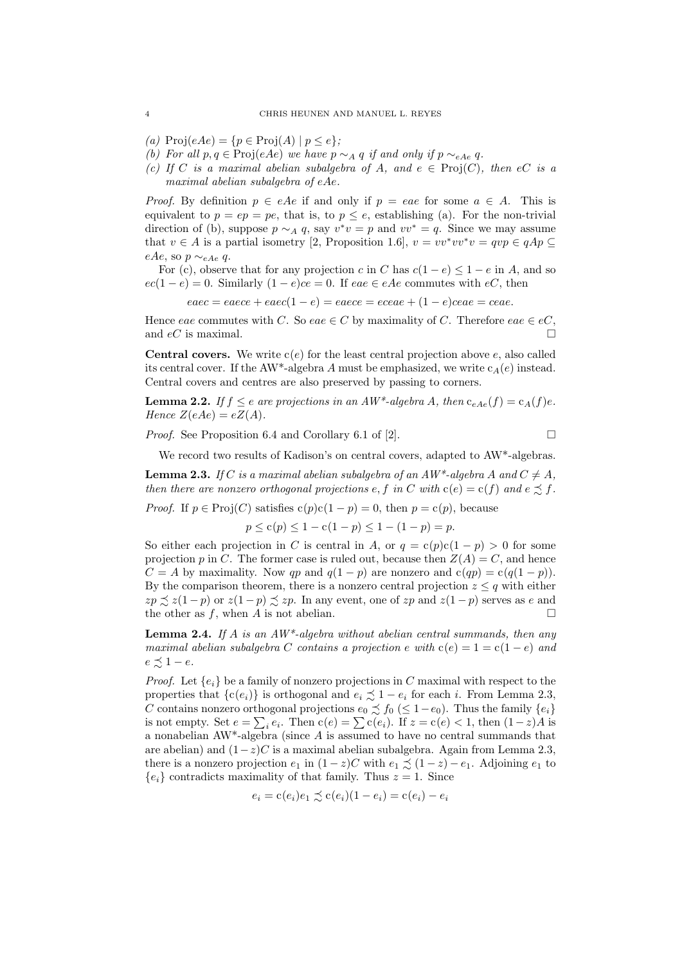(a)  $\text{Proj}(eAe) = \{p \in \text{Proj}(A) \mid p \leq e\};$ 

- (b) For all  $p, q \in \text{Proj}(eAe)$  we have  $p \sim_A q$  if and only if  $p \sim_{eAe} q$ .
- (c) If C is a maximal abelian subalgebra of A, and  $e \in \text{Proj}(C)$ , then  $eC$  is a maximal abelian subalgebra of eAe.

*Proof.* By definition  $p \in eAe$  if and only if  $p = eae$  for some  $a \in A$ . This is equivalent to  $p = ep = pe$ , that is, to  $p \leq e$ , establishing (a). For the non-trivial direction of (b), suppose  $p \sim_A q$ , say  $v^*v = p$  and  $vv^* = q$ . Since we may assume that  $v \in A$  is a partial isometry [2, Proposition 1.6],  $v = vv^*vv^*v = qvp \in qAp \subseteq$ eAe, so  $p \sim_{eAe} q$ .

For (c), observe that for any projection c in C has  $c(1-e) \leq 1-e$  in A, and so  $ec(1-e) = 0$ . Similarly  $(1 - e)ce = 0$ . If  $eae \in eAe$  commutes with  $eC$ , then

 $eaec = eaece + eaec(1 - e) = eaece = eceae + (1 - e)ceae = ceae.$ 

Hence eae commutes with C. So eae  $\in C$  by maximality of C. Therefore eae  $\in eC$ , and  $eC$  is maximal.

**Central covers.** We write  $c(e)$  for the least central projection above e, also called its central cover. If the AW\*-algebra A must be emphasized, we write  $c_A(e)$  instead. Central covers and centres are also preserved by passing to corners.

**Lemma 2.2.** If  $f \leq e$  are projections in an  $AW^*$ -algebra A, then  $c_{eAe}(f) = c_A(f)e$ . Hence  $Z(eAe) = eZ(A)$ .

*Proof.* See Proposition 6.4 and Corollary 6.1 of [2].

We record two results of Kadison's on central covers, adapted to AW\*-algebras.

**Lemma 2.3.** If C is a maximal abelian subalgebra of an  $AW^*$ -algebra A and  $C \neq A$ , then there are nonzero orthogonal projections e, f in C with  $c(e) = c(f)$  and  $e \preceq f$ .

*Proof.* If  $p \in \text{Proj}(C)$  satisfies  $c(p)c(1-p) = 0$ , then  $p = c(p)$ , because

$$
p \le c(p) \le 1 - c(1 - p) \le 1 - (1 - p) = p.
$$

So either each projection in C is central in A, or  $q = c(p)c(1 - p) > 0$  for some projection p in C. The former case is ruled out, because then  $Z(A) = C$ , and hence  $C = A$  by maximality. Now qp and  $q(1 - p)$  are nonzero and  $c(qp) = c(q(1 - p))$ . By the comparison theorem, there is a nonzero central projection  $z \leq q$  with either  $zp \precsim z(1-p)$  or  $z(1-p) \precsim zp$ . In any event, one of  $zp$  and  $z(1-p)$  serves as e and the other as f, when A is not abelian.  $\square$ 

**Lemma 2.4.** If A is an  $AW^*$ -algebra without abelian central summands, then any maximal abelian subalgebra C contains a projection e with  $c(e) = 1 = c(1 - e)$  and  $e \precsim 1 - e$ .

*Proof.* Let  $\{e_i\}$  be a family of nonzero projections in C maximal with respect to the properties that  $\{c(e_i)\}\$ is orthogonal and  $e_i \precsim 1 - e_i$  for each i. From Lemma 2.3, C contains nonzero orthogonal projections  $e_0 \precsim f_0 \ ( \leq 1 - e_0 )$ . Thus the family  $\{e_i\}$ is not empty. Set  $e = \sum_i e_i$ . Then  $c(e) = \sum c(e_i)$ . If  $z = c(e) < 1$ , then  $(1-z)A$  is a nonabelian  $AW^*$ -algebra (since  $A$  is assumed to have no central summands that are abelian) and  $(1-z)C$  is a maximal abelian subalgebra. Again from Lemma 2.3, there is a nonzero projection  $e_1$  in  $(1-z)C$  with  $e_1 \precsim (1-z) - e_1$ . Adjoining  $e_1$  to  ${e_i}$  contradicts maximality of that family. Thus  $z = 1$ . Since

$$
e_i = c(e_i)e_1 \precsim c(e_i)(1 - e_i) = c(e_i) - e_i
$$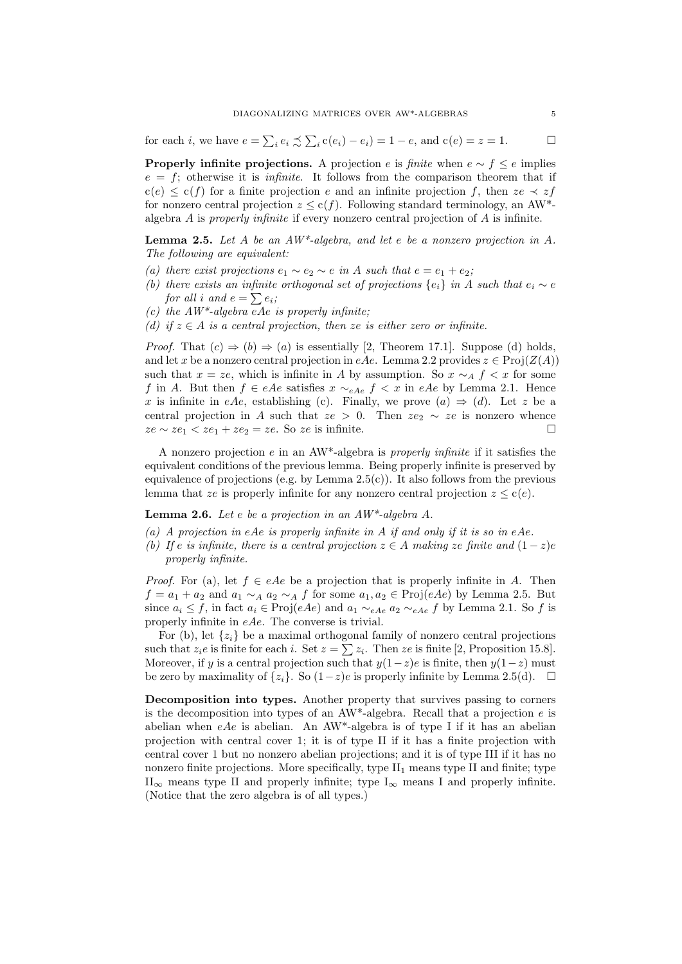for each *i*, we have  $e = \sum_i e_i \precsim \sum_i c(e_i) - e_i = 1 - e$ , and  $c(e) = z = 1$ .

**Properly infinite projections.** A projection e is finite when  $e \sim f \leq e$  implies  $e = f$ ; otherwise it is *infinite*. It follows from the comparison theorem that if  $c(e) \leq c(f)$  for a finite projection e and an infinite projection f, then  $ze \prec zf$ for nonzero central projection  $z \leq c(f)$ . Following standard terminology, an AW\*algebra A is properly infinite if every nonzero central projection of A is infinite.

**Lemma 2.5.** Let A be an  $AW^*$ -algebra, and let e be a nonzero projection in A. The following are equivalent:

- (a) there exist projections  $e_1 \sim e_2 \sim e$  in A such that  $e = e_1 + e_2$ ;
- (b) there exists an infinite orthogonal set of projections  $\{e_i\}$  in A such that  $e_i \sim e$ for all i and  $e = \sum e_i$ ;
- (c) the  $AW^*$ -algebra eAe is properly infinite;
- (d) if  $z \in A$  is a central projection, then ze is either zero or infinite.

*Proof.* That  $(c) \Rightarrow (b) \Rightarrow (a)$  is essentially [2, Theorem 17.1]. Suppose (d) holds, and let x be a nonzero central projection in eAe. Lemma 2.2 provides  $z \in Proj(Z(A))$ such that  $x = ze$ , which is infinite in A by assumption. So  $x \sim_A f < x$  for some f in A. But then  $f \in eAe$  satisfies  $x \sim_{eAe} f < x$  in eAe by Lemma 2.1. Hence x is infinite in eAe, establishing (c). Finally, we prove  $(a) \Rightarrow (d)$ . Let z be a central projection in A such that  $ze > 0$ . Then  $ze<sub>2</sub> \sim ze$  is nonzero whence  $ze \sim ze_1 \lt ze_1 + ze_2 = ze$ . So ze is infinite.

A nonzero projection e in an  $AW^*$ -algebra is properly infinite if it satisfies the equivalent conditions of the previous lemma. Being properly infinite is preserved by equivalence of projections (e.g. by Lemma  $2.5(c)$ ). It also follows from the previous lemma that ze is properly infinite for any nonzero central projection  $z \leq c(e)$ .

**Lemma 2.6.** Let e be a projection in an  $AW^*$ -algebra A.

- (a) A projection in eAe is properly infinite in A if and only if it is so in eAe.
- (b) If e is infinite, there is a central projection  $z \in A$  making ze finite and  $(1-z)e$ properly infinite.

*Proof.* For (a), let  $f \in eAe$  be a projection that is properly infinite in A. Then  $f = a_1 + a_2$  and  $a_1 \sim_A a_2 \sim_A f$  for some  $a_1, a_2 \in \text{Proj}(eAe)$  by Lemma 2.5. But since  $a_i \leq f$ , in fact  $a_i \in \text{Proj}(eAe)$  and  $a_1 \sim_{eAe} a_2 \sim_{eAe} f$  by Lemma 2.1. So f is properly infinite in eAe. The converse is trivial.

For (b), let  $\{z_i\}$  be a maximal orthogonal family of nonzero central projections such that  $z_i e$  is finite for each i. Set  $z = \sum z_i$ . Then  $ze$  is finite [2, Proposition 15.8]. Moreover, if y is a central projection such that  $y(1-z)e$  is finite, then  $y(1-z)$  must be zero by maximality of  $\{z_i\}$ . So  $(1-z)e$  is properly infinite by Lemma 2.5(d). □

Decomposition into types. Another property that survives passing to corners is the decomposition into types of an  $AW^*$ -algebra. Recall that a projection e is abelian when  $eAe$  is abelian. An AW<sup>\*</sup>-algebra is of type I if it has an abelian projection with central cover 1; it is of type II if it has a finite projection with central cover 1 but no nonzero abelian projections; and it is of type III if it has no nonzero finite projections. More specifically, type  $II_1$  means type II and finite; type  $II_{\infty}$  means type II and properly infinite; type  $I_{\infty}$  means I and properly infinite. (Notice that the zero algebra is of all types.)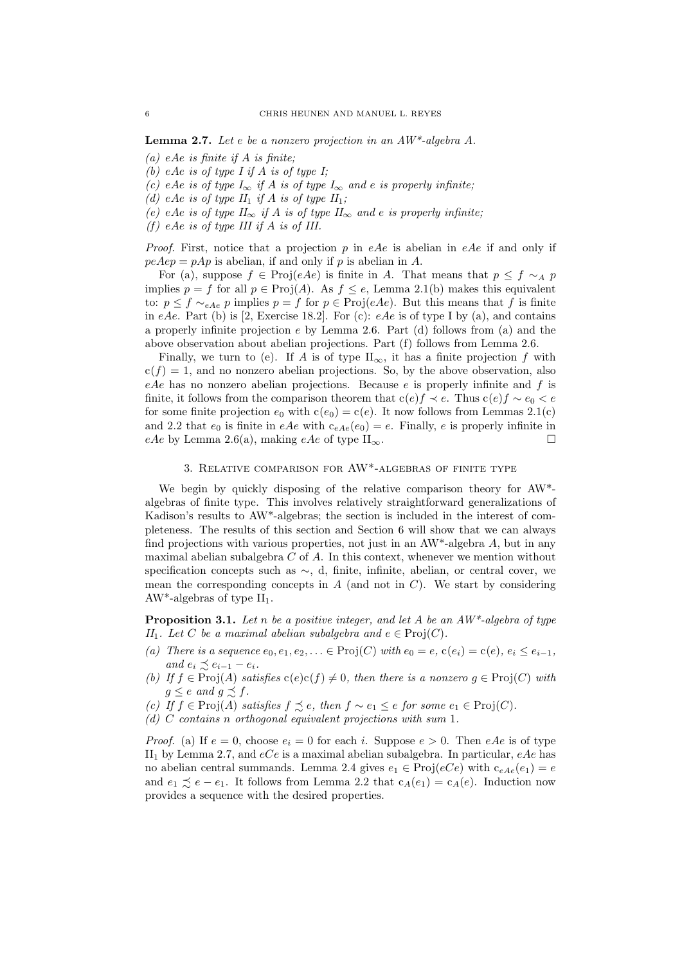**Lemma 2.7.** Let e be a nonzero projection in an  $AW^*$ -algebra A.

- (a) eAe is finite if A is finite:
- (b) eAe is of type I if A is of type I;
- (c) eAe is of type  $I_{\infty}$  if A is of type  $I_{\infty}$  and e is properly infinite;
- (d) eAe is of type  $II_1$  if A is of type  $II_1$ ;
- (e) eAe is of type  $II_{\infty}$  if A is of type  $II_{\infty}$  and e is properly infinite;
- (f) eAe is of type III if A is of III.

*Proof.* First, notice that a projection p in eAe is abelian in eAe if and only if  $peAep = pAp$  is abelian, if and only if p is abelian in A.

For (a), suppose  $f \in \text{Proj}(eAe)$  is finite in A. That means that  $p \leq f \sim_A p$ implies  $p = f$  for all  $p \in Proj(A)$ . As  $f \leq e$ , Lemma 2.1(b) makes this equivalent to:  $p \leq f \sim_{eAe} p$  implies  $p = f$  for  $p \in Proj(eAe)$ . But this means that f is finite in eAe. Part (b) is [2, Exercise 18.2]. For (c): eAe is of type I by (a), and contains a properly infinite projection  $e$  by Lemma 2.6. Part (d) follows from (a) and the above observation about abelian projections. Part (f) follows from Lemma 2.6.

Finally, we turn to (e). If A is of type  $II_{\infty}$ , it has a finite projection f with  $c(f) = 1$ , and no nonzero abelian projections. So, by the above observation, also  $eAe$  has no nonzero abelian projections. Because e is properly infinite and f is finite, it follows from the comparison theorem that  $c(e)f \prec e$ . Thus  $c(e)f \sim e_0 \prec e$ for some finite projection  $e_0$  with  $c(e_0) = c(e)$ . It now follows from Lemmas 2.1(c) and 2.2 that  $e_0$  is finite in eAe with  $c_{eAe}(e_0) = e$ . Finally, e is properly infinite in eAe by Lemma 2.6(a), making eAe of type  $II_{\infty}$ .

## 3. Relative comparison for AW\*-algebras of finite type

We begin by quickly disposing of the relative comparison theory for AW\* algebras of finite type. This involves relatively straightforward generalizations of Kadison's results to AW\*-algebras; the section is included in the interest of completeness. The results of this section and Section 6 will show that we can always find projections with various properties, not just in an  $AW^*$ -algebra A, but in any maximal abelian subalgebra  $C$  of  $A$ . In this context, whenever we mention without specification concepts such as ∼, d, finite, infinite, abelian, or central cover, we mean the corresponding concepts in  $A$  (and not in  $C$ ). We start by considering AW<sup>\*</sup>-algebras of type  $II_1$ .

**Proposition 3.1.** Let n be a positive integer, and let A be an  $AW^*$ -algebra of type II<sub>1</sub>. Let C be a maximal abelian subalgebra and  $e \in \text{Proj}(C)$ .

- (a) There is a sequence  $e_0, e_1, e_2, \ldots \in \text{Proj}(C)$  with  $e_0 = e$ ,  $c(e_i) = c(e)$ ,  $e_i \leq e_{i-1}$ , and  $e_i \precsim e_{i-1} - e_i$ .
- (b) If  $f \in \text{Proj}(A)$  satisfies  $c(e)c(f) \neq 0$ , then there is a nonzero  $g \in \text{Proj}(C)$  with  $g \leq e$  and  $g \precsim f$ .
- (c) If  $f \in \text{Proj}(A)$  satisfies  $f \precsim e$ , then  $f \sim e_1 \leq e$  for some  $e_1 \in \text{Proj}(C)$ .
- (d) C contains n orthogonal equivalent projections with sum 1.

*Proof.* (a) If  $e = 0$ , choose  $e_i = 0$  for each i. Suppose  $e > 0$ . Then eAe is of type II<sub>1</sub> by Lemma 2.7, and  $eCe$  is a maximal abelian subalgebra. In particular,  $eAe$  has no abelian central summands. Lemma 2.4 gives  $e_1 \in \text{Proj}(eCe)$  with  $c_{eAe}(e_1) = e$ and  $e_1 \precsim e - e_1$ . It follows from Lemma 2.2 that  $c_A(e_1) = c_A(e)$ . Induction now provides a sequence with the desired properties.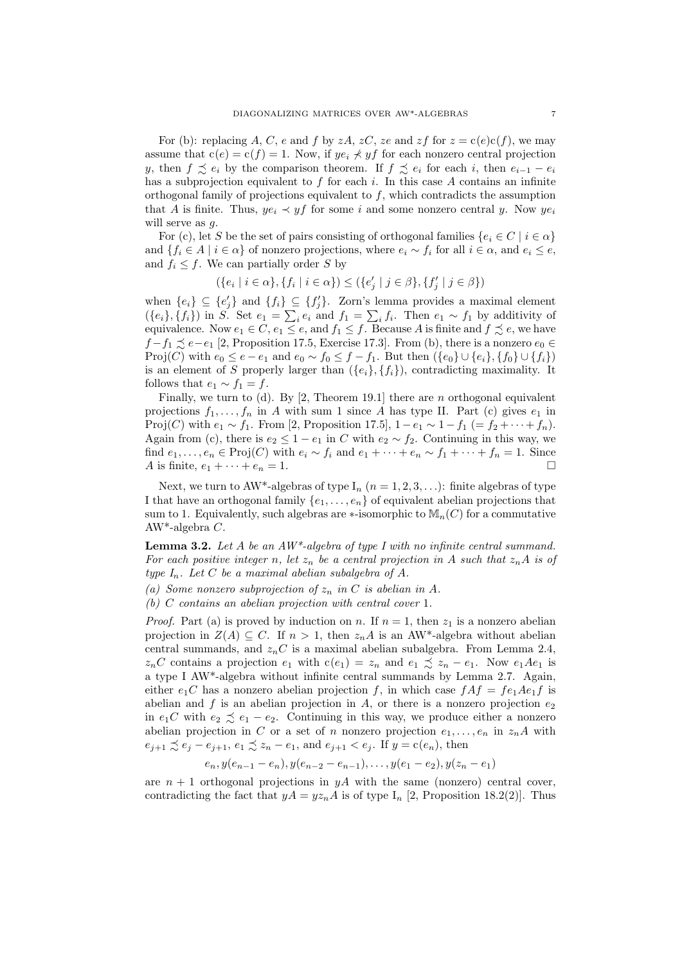For (b): replacing A, C, e and f by zA, zC, ze and zf for  $z = c(e)c(f)$ , we may assume that  $c(e) = c(f) = 1$ . Now, if  $ye_i \nless yf$  for each nonzero central projection y, then  $f \precsim e_i$  by the comparison theorem. If  $f \precsim e_i$  for each i, then  $e_{i-1} - e_i$ has a subprojection equivalent to  $f$  for each  $i$ . In this case  $A$  contains an infinite orthogonal family of projections equivalent to  $f$ , which contradicts the assumption that A is finite. Thus,  $ye_i \prec yf$  for some i and some nonzero central y. Now  $ye_i$ will serve as  $q$ .

For (c), let S be the set of pairs consisting of orthogonal families  $\{e_i \in C \mid i \in \alpha\}$ and  $\{f_i \in A \mid i \in \alpha\}$  of nonzero projections, where  $e_i \sim f_i$  for all  $i \in \alpha$ , and  $e_i \leq e$ , and  $f_i \leq f$ . We can partially order S by

$$
(\{e_i \mid i \in \alpha\}, \{f_i \mid i \in \alpha\}) \le (\{e'_j \mid j \in \beta\}, \{f'_j \mid j \in \beta\})
$$

when  $\{e_i\} \subseteq \{e'_j\}$  and  $\{f_i\} \subseteq \{f'_j\}$ . Zorn's lemma provides a maximal element  $({e_i}, {f_i})$  in S. Set  $e_1 = \sum_i e_i$  and  $f_1 = \sum_i f_i$ . Then  $e_1 \sim f_1$  by additivity of equivalence. Now  $e_1 \in C$ ,  $e_1 \leq e$ , and  $f_1 \leq f$ . Because A is finite and  $f \precsim e$ , we have  $f - f_1 \precsim e - e_1$  [2, Proposition 17.5, Exercise 17.3]. From (b), there is a nonzero  $e_0 \in$ Proj(C) with  $e_0 \le e - e_1$  and  $e_0 \sim f_0 \le f - f_1$ . But then  $({e_0} \cup {e_i}, {f_0} \cup {f_i})$ is an element of S properly larger than  $({e_i}, {f_i})$ , contradicting maximality. It follows that  $e_1 \sim f_1 = f$ .

Finally, we turn to (d). By [2, Theorem 19.1] there are n orthogonal equivalent projections  $f_1, \ldots, f_n$  in A with sum 1 since A has type II. Part (c) gives  $e_1$  in Proj(C) with  $e_1 \sim f_1$ . From [2, Proposition 17.5],  $1 - e_1 \sim 1 - f_1$  (=  $f_2 + \cdots + f_n$ ). Again from (c), there is  $e_2 \leq 1 - e_1$  in C with  $e_2 \sim f_2$ . Continuing in this way, we find  $e_1, \ldots, e_n \in \text{Proj}(C)$  with  $e_i \sim f_i$  and  $e_1 + \cdots + e_n \sim f_1 + \cdots + f_n = 1$ . Since A is finite,  $e_1 + \cdots + e_n = 1$ .

Next, we turn to AW\*-algebras of type  $I_n$   $(n = 1, 2, 3, ...)$ : finite algebras of type I that have an orthogonal family  $\{e_1, \ldots, e_n\}$  of equivalent abelian projections that sum to 1. Equivalently, such algebras are  $\ast$ -isomorphic to  $\mathbb{M}_n(C)$  for a commutative AW\*-algebra C.

**Lemma 3.2.** Let A be an  $AW^*$ -algebra of type I with no infinite central summand. For each positive integer n, let  $z_n$  be a central projection in A such that  $z_nA$  is of type  $I_n$ . Let C be a maximal abelian subalgebra of A.

(a) Some nonzero subprojection of  $z_n$  in C is abelian in A.

(b) C contains an abelian projection with central cover 1.

*Proof.* Part (a) is proved by induction on n. If  $n = 1$ , then  $z_1$  is a nonzero abelian projection in  $Z(A) \subseteq C$ . If  $n > 1$ , then  $z_n A$  is an AW<sup>\*</sup>-algebra without abelian central summands, and  $z_nC$  is a maximal abelian subalgebra. From Lemma 2.4,  $z_nC$  contains a projection  $e_1$  with  $c(e_1) = z_n$  and  $e_1 \precsim z_n - e_1$ . Now  $e_1Ae_1$  is a type I AW\*-algebra without infinite central summands by Lemma 2.7. Again, either  $e_1C$  has a nonzero abelian projection f, in which case  $fAf = fe_1Ae_1f$  is abelian and f is an abelian projection in A, or there is a nonzero projection  $e_2$ in  $e_1C$  with  $e_2 \precsim e_1 - e_2$ . Continuing in this way, we produce either a nonzero abelian projection in C or a set of n nonzero projection  $e_1, \ldots, e_n$  in  $z_n A$  with  $e_{i+1} \precsim e_i - e_{i+1}, e_1 \precsim z_n - e_1$ , and  $e_{i+1} < e_i$ . If  $y = c(e_n)$ , then

$$
e_n, y(e_{n-1}-e_n), y(e_{n-2}-e_{n-1}), \ldots, y(e_1-e_2), y(z_n-e_1)
$$

are  $n + 1$  orthogonal projections in  $yA$  with the same (nonzero) central cover, contradicting the fact that  $yA = yz<sub>n</sub>A$  is of type  $I_n$  [2, Proposition 18.2(2)]. Thus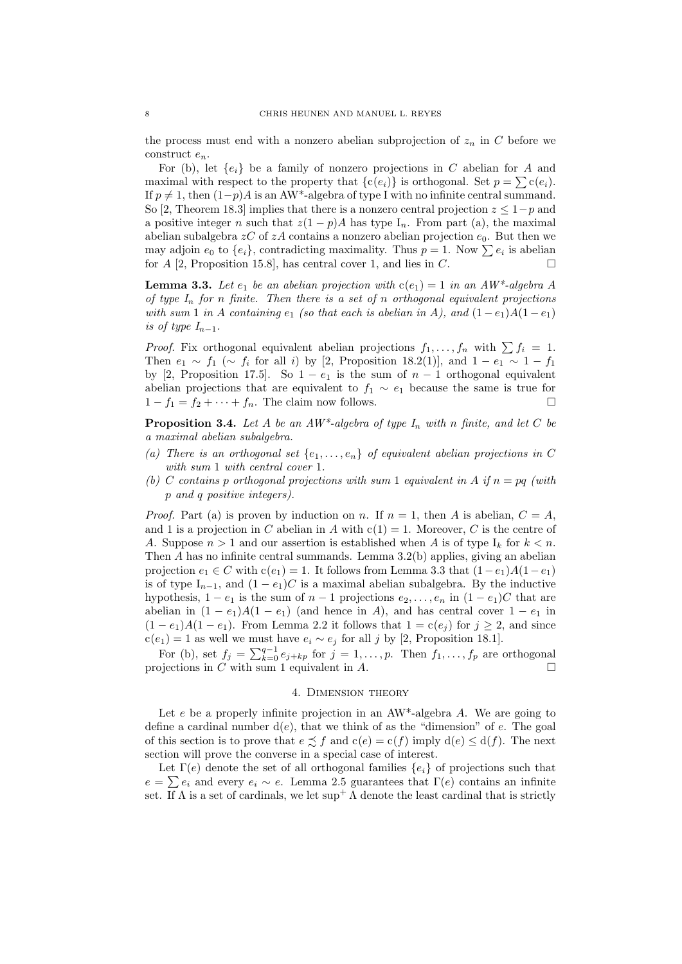the process must end with a nonzero abelian subprojection of  $z_n$  in C before we construct  $e_n$ .

For (b), let  $\{e_i\}$  be a family of nonzero projections in C abelian for A and maximal with respect to the property that  ${c(e_i)}$  is orthogonal. Set  $p = \sum c(e_i)$ . If  $p \neq 1$ , then  $(1-p)A$  is an AW<sup>\*</sup>-algebra of type I with no infinite central summand. So [2, Theorem 18.3] implies that there is a nonzero central projection  $z \leq 1-p$  and a positive integer n such that  $z(1-p)A$  has type  $I_n$ . From part (a), the maximal abelian subalgebra  $zC$  of  $zA$  contains a nonzero abelian projection  $e_0$ . But then we may adjoin  $e_0$  to  $\{e_i\}$ , contradicting maximality. Thus  $p = 1$ . Now  $\sum e_i$  is abelian for  $A$  [2, Proposition 15.8], has central cover 1, and lies in  $C$ .

**Lemma 3.3.** Let  $e_1$  be an abelian projection with  $c(e_1) = 1$  in an AW\*-algebra A of type  $I_n$  for n finite. Then there is a set of n orthogonal equivalent projections with sum 1 in A containing  $e_1$  (so that each is abelian in A), and  $(1-e_1)A(1-e_1)$ is of type  $I_{n-1}$ .

*Proof.* Fix orthogonal equivalent abelian projections  $f_1, \ldots, f_n$  with  $\sum f_i = 1$ . Then  $e_1 \sim f_1$  (~  $f_i$  for all i) by [2, Proposition 18.2(1)], and  $1 - e_1 \sim 1 - f_1$ by [2, Proposition 17.5]. So  $1 - e_1$  is the sum of  $n - 1$  orthogonal equivalent abelian projections that are equivalent to  $f_1 \sim e_1$  because the same is true for  $1 - f_1 = f_2 + \cdots + f_n$ . The claim now follows.

**Proposition 3.4.** Let A be an  $AW^*$ -algebra of type  $I_n$  with n finite, and let C be a maximal abelian subalgebra.

- (a) There is an orthogonal set  $\{e_1, \ldots, e_n\}$  of equivalent abelian projections in C with sum 1 with central cover 1.
- (b) C contains p orthogonal projections with sum 1 equivalent in A if  $n = pq$  (with p and q positive integers).

*Proof.* Part (a) is proven by induction on n. If  $n = 1$ , then A is abelian,  $C = A$ , and 1 is a projection in C abelian in A with  $c(1) = 1$ . Moreover, C is the centre of A. Suppose  $n > 1$  and our assertion is established when A is of type  $I_k$  for  $k < n$ . Then A has no infinite central summands. Lemma 3.2(b) applies, giving an abelian projection  $e_1 \in C$  with  $c(e_1) = 1$ . It follows from Lemma 3.3 that  $(1 - e_1)A(1 - e_1)$ is of type  $I_{n-1}$ , and  $(1 - e_1)C$  is a maximal abelian subalgebra. By the inductive hypothesis,  $1 - e_1$  is the sum of  $n - 1$  projections  $e_2, \ldots, e_n$  in  $(1 - e_1)C$  that are abelian in  $(1 - e_1)A(1 - e_1)$  (and hence in A), and has central cover  $1 - e_1$  in  $(1-e_1)A(1-e_1)$ . From Lemma 2.2 it follows that  $1 = c(e_i)$  for  $j \ge 2$ , and since  $c(e_1) = 1$  as well we must have  $e_i \sim e_j$  for all j by [2, Proposition 18.1].

For (b), set  $f_j = \sum_{k=0}^{q-1} e_{j+kp}$  for  $j = 1, \ldots, p$ . Then  $f_1, \ldots, f_p$  are orthogonal projections in C with sum 1 equivalent in  $A$ .

#### 4. Dimension theory

Let e be a properly infinite projection in an  $AW^*$ -algebra A. We are going to define a cardinal number  $d(e)$ , that we think of as the "dimension" of e. The goal of this section is to prove that  $e \precsim f$  and  $c(e) = c(f)$  imply  $d(e) \leq d(f)$ . The next section will prove the converse in a special case of interest.

Let  $\Gamma(e)$  denote the set of all orthogonal families  $\{e_i\}$  of projections such that  $e = \sum e_i$  and every  $e_i \sim e$ . Lemma 2.5 guarantees that  $\Gamma(e)$  contains an infinite set. If  $\Lambda$  is a set of cardinals, we let sup<sup>+</sup>  $\Lambda$  denote the least cardinal that is strictly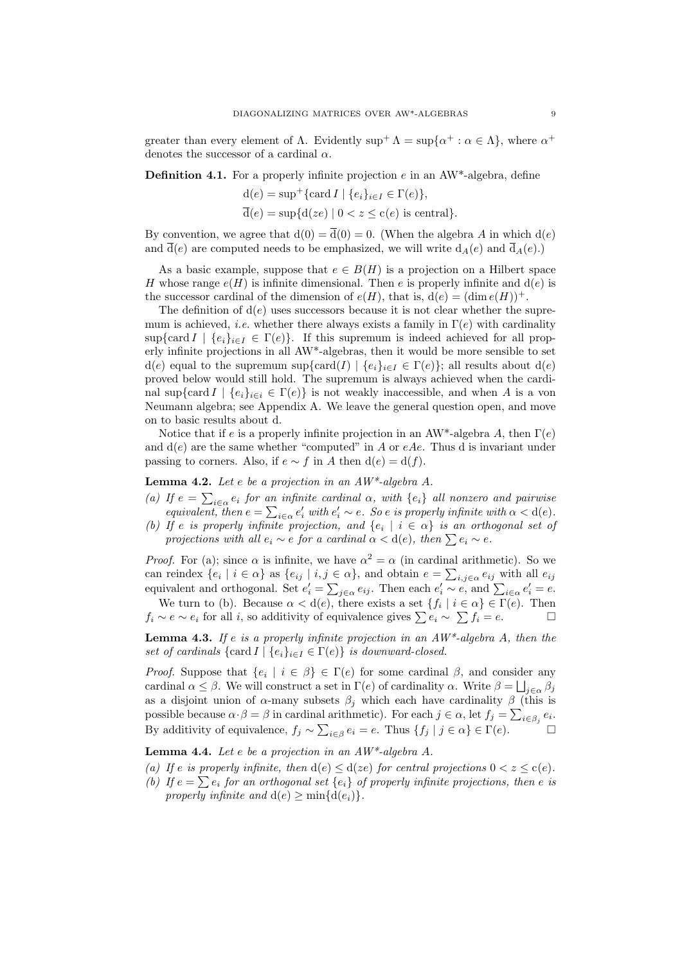greater than every element of  $\Lambda$ . Evidently  $\sup^+ \Lambda = \sup \{ \alpha^+ : \alpha \in \Lambda \}$ , where  $\alpha^+$ denotes the successor of a cardinal  $\alpha$ .

**Definition 4.1.** For a properly infinite projection  $e$  in an AW\*-algebra, define

$$
d(e) = \sup^+ \{ \text{card } I \mid \{e_i\}_{i \in I} \in \Gamma(e) \},
$$
  

$$
\overline{d}(e) = \sup \{ d(ze) \mid 0 < z \le c(e) \text{ is central} \}.
$$

By convention, we agree that  $d(0) = \overline{d}(0) = 0$ . (When the algebra A in which  $d(e)$ ) and  $\overline{d}(e)$  are computed needs to be emphasized, we will write  $d_A(e)$  and  $\overline{d}_A(e)$ .)

As a basic example, suppose that  $e \in B(H)$  is a projection on a Hilbert space H whose range  $e(H)$  is infinite dimensional. Then e is properly infinite and  $d(e)$  is the successor cardinal of the dimension of  $e(H)$ , that is,  $d(e) = (\dim e(H))^+$ .

The definition of  $d(e)$  uses successors because it is not clear whether the supremum is achieved, *i.e.* whether there always exists a family in  $\Gamma(e)$  with cardinality  $\sup{\mathrm{card}\, I \mid \{e_i\}_{i\in I} \in \Gamma(e)\}.$  If this supremum is indeed achieved for all properly infinite projections in all AW\*-algebras, then it would be more sensible to set  $d(e)$  equal to the supremum sup{card(I)  $\{e_i\}_{i\in I} \in \Gamma(e)$ ; all results about  $d(e)$ proved below would still hold. The supremum is always achieved when the cardinal sup{card  $I \mid \{e_i\}_{i \in i} \in \Gamma(e)$ } is not weakly inaccessible, and when A is a von Neumann algebra; see Appendix A. We leave the general question open, and move on to basic results about d.

Notice that if e is a properly infinite projection in an AW\*-algebra A, then  $\Gamma(e)$ and  $d(e)$  are the same whether "computed" in A or eAe. Thus d is invariant under passing to corners. Also, if  $e \sim f$  in A then  $d(e) = d(f)$ .

Lemma 4.2. Let e be a projection in an AW\*-algebra A.

(a) If  $e = \sum_{i \in \alpha} e_i$  for an infinite cardinal  $\alpha$ , with  $\{e_i\}$  all nonzero and pairwise equivalent, then  $e = \sum_{i \in \alpha} e'_i$  with  $e'_i \sim e$ . So e is properly infinite with  $\alpha < d(e)$ .

(b) If e is properly infinite projection, and  $\{e_i \mid i \in \alpha\}$  is an orthogonal set of projections with all  $e_i \sim e$  for a cardinal  $\alpha < d(e)$ , then  $\sum e_i \sim e$ .

*Proof.* For (a); since  $\alpha$  is infinite, we have  $\alpha^2 = \alpha$  (in cardinal arithmetic). So we can reindex  $\{e_i \mid i \in \alpha\}$  as  $\{e_{ij} \mid i,j \in \alpha\}$ , and obtain  $e = \sum_{i,j \in \alpha} e_{ij}$  with all  $e_{ij}$ equivalent and orthogonal. Set  $e'_i = \sum_{j \in \alpha} e_{ij}$ . Then each  $e'_i \sim e$ , and  $\sum_{i \in \alpha} e'_i = e$ .

We turn to (b). Because  $\alpha < d(e)$ , there exists a set  $\{f_i \mid i \in \alpha\} \in \Gamma(e)$ . Then  $f_i \sim e \sim e_i$  for all i, so additivity of equivalence gives  $\sum e_i \sim \sum f_i = e$ .

**Lemma 4.3.** If e is a properly infinite projection in an  $AW^*$ -algebra A, then the set of cardinals  $\{ \text{card } I \mid \{e_i\}_{i \in I} \in \Gamma(e) \}$  is downward-closed.

*Proof.* Suppose that  $\{e_i \mid i \in \beta\} \in \Gamma(e)$  for some cardinal  $\beta$ , and consider any cardinal  $\alpha \leq \beta$ . We will construct a set in  $\Gamma(e)$  of cardinality  $\alpha$ . Write  $\beta = \bigsqcup_{j \in \alpha} \beta_j$ as a disjoint union of  $\alpha$ -many subsets  $\beta_j$  which each have cardinality  $\beta$  (this is possible because  $\alpha \cdot \beta = \beta$  in cardinal arithmetic). For each  $j \in \alpha$ , let  $f_j = \sum_{i \in \beta_j} e_i$ . By additivity of equivalence,  $f_j \sim \sum_{i \in \beta} e_i = e$ . Thus  $\{f_j \mid j \in \alpha\} \in \Gamma(e)$ .

**Lemma 4.4.** Let e be a projection in an  $AW^*$ -algebra A.

(a) If e is properly infinite, then  $d(e) \leq d(ze)$  for central projections  $0 < z \leq c(e)$ .

(b) If  $e = \sum e_i$  for an orthogonal set  $\{e_i\}$  of properly infinite projections, then e is properly infinite and  $d(e) \ge \min\{d(e_i)\}.$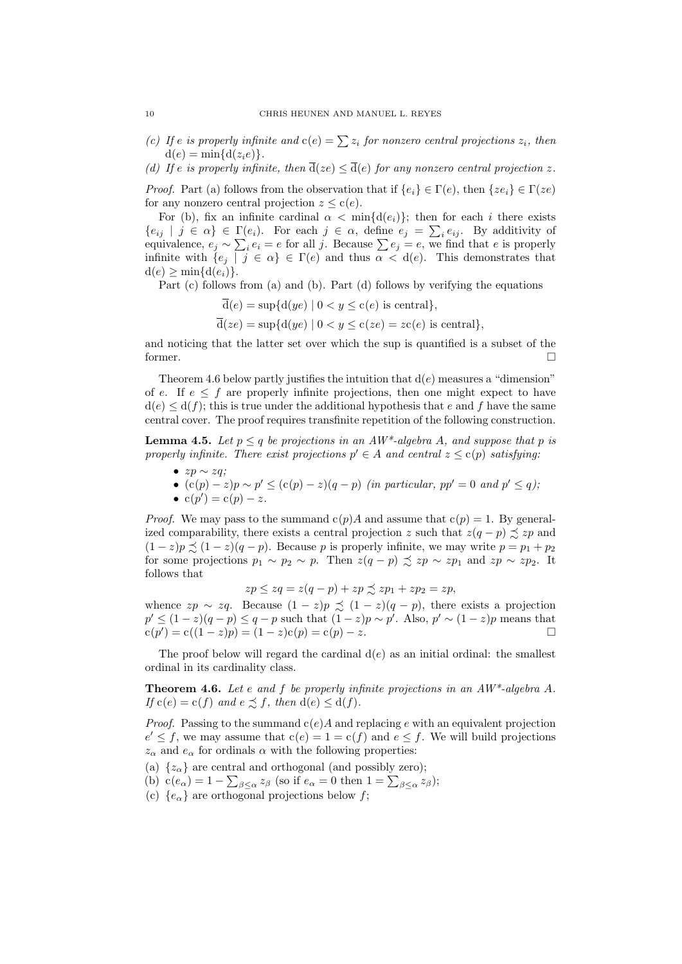- (c) If e is properly infinite and  $c(e) = \sum z_i$  for nonzero central projections  $z_i$ , then  $d(e) = \min\{d(z_i e)\}.$
- (d) If e is properly infinite, then  $\overline{d}(ze) \leq \overline{d}(e)$  for any nonzero central projection z.

*Proof.* Part (a) follows from the observation that if  ${e_i} \in \Gamma(e)$ , then  ${ze_i} \in \Gamma(ze)$ for any nonzero central projection  $z \leq c(e)$ .

For (b), fix an infinite cardinal  $\alpha < \min\{d(e_i)\}\$ ; then for each i there exists  $\{e_{ij} \mid j \in \alpha\} \in \Gamma(e_i)$ . For each  $j \in \alpha$ , define  $e_j = \sum_i e_{ij}$ . By additivity of equivalence,  $e_j \sim \sum_i e_i = e$  for all j. Because  $\sum e_j = e$ , we find that e is properly infinite with  $\{e_j \mid j \in \alpha\} \in \Gamma(e)$  and thus  $\alpha < d(e)$ . This demonstrates that  $d(e) > min{d(e_i)}$ .

Part (c) follows from (a) and (b). Part (d) follows by verifying the equations

$$
\overline{d}(e) = \sup\{d(ye) \mid 0 < y \le c(e) \text{ is central}\},\
$$
\n
$$
\overline{d}(ze) = \sup\{d(ye) \mid 0 < y \le c(ze) = zc(e) \text{ is central}\},
$$

and noticing that the latter set over which the sup is quantified is a subset of the former.

Theorem 4.6 below partly justifies the intuition that  $d(e)$  measures a "dimension" of e. If  $e \leq f$  are properly infinite projections, then one might expect to have  $d(e) \leq d(f)$ ; this is true under the additional hypothesis that e and f have the same central cover. The proof requires transfinite repetition of the following construction.

**Lemma 4.5.** Let  $p \leq q$  be projections in an  $AW^*$ -algebra A, and suppose that p is properly infinite. There exist projections  $p' \in A$  and central  $z \leq c(p)$  satisfying:

- $zp \sim zq$ ;
- $(c(p) z)p \sim p' \leq (c(p) z)(q p)$  (in particular,  $pp' = 0$  and  $p' \leq q$ );
- $c(p') = c(p) z$ .

*Proof.* We may pass to the summand  $c(p)A$  and assume that  $c(p) = 1$ . By generalized comparability, there exists a central projection z such that  $z(q - p) \preceq zp$  and  $(1-z)p \preceq (1-z)(q-p)$ . Because p is properly infinite, we may write  $p = p_1 + p_2$ for some projections  $p_1 \sim p_2 \sim p$ . Then  $z(q - p) \precsim zp \sim zp_1$  and  $zp \sim zp_2$ . It follows that

$$
zp \le zq = z(q - p) + zp \precsim zp_1 + zp_2 = zp,
$$

whence  $zp \sim zq$ . Because  $(1 - z)p \precsim (1 - z)(q - p)$ , there exists a projection  $p' \leq (1-z)(q-p) \leq q-p$  such that  $(1-z)p \sim p'$ . Also,  $p' \sim (1-z)p$  means that  $c(p') = c((1-z)p) = (1-z)c(p) = c(p) - z.$ 

The proof below will regard the cardinal  $d(e)$  as an initial ordinal: the smallest ordinal in its cardinality class.

**Theorem 4.6.** Let e and f be properly infinite projections in an  $AW^*$ -algebra A. If  $c(e) = c(f)$  and  $e \preceq f$ , then  $d(e) \leq d(f)$ .

*Proof.* Passing to the summand  $c(e)A$  and replacing e with an equivalent projection  $e' \leq f$ , we may assume that  $c(e) = 1 = c(f)$  and  $e \leq f$ . We will build projections  $z_{\alpha}$  and  $e_{\alpha}$  for ordinals  $\alpha$  with the following properties:

(a)  $\{z_{\alpha}\}\$ are central and orthogonal (and possibly zero);

(b)  $c(e_{\alpha}) = 1 - \sum_{\beta \leq \alpha} z_{\beta}$  (so if  $e_{\alpha} = 0$  then  $1 = \sum_{\beta \leq \alpha} z_{\beta}$ );

(c)  $\{e_{\alpha}\}\$ are orthogonal projections below f;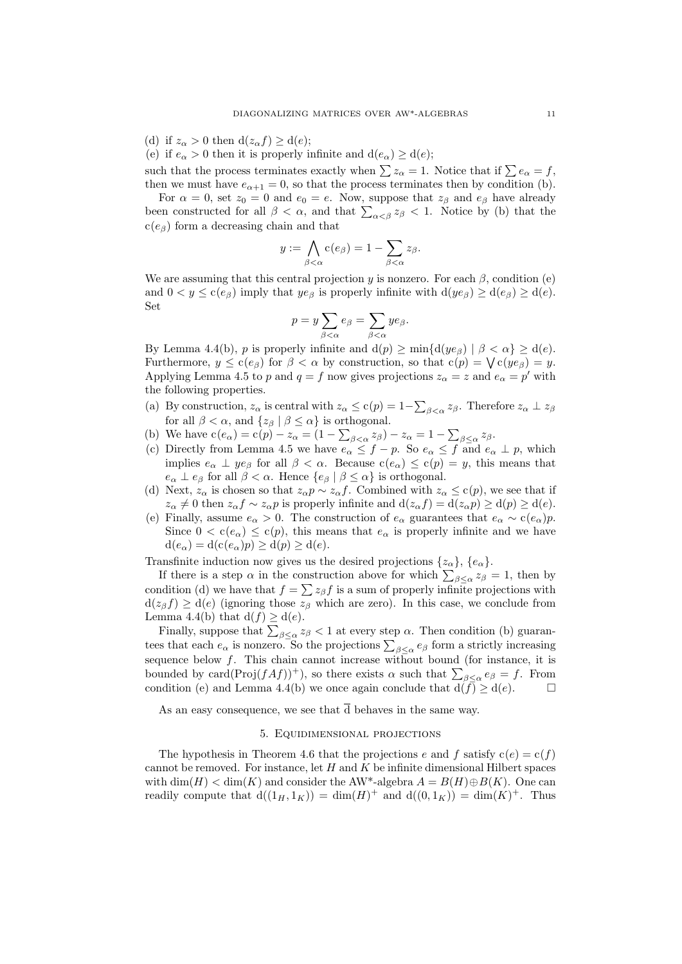(d) if  $z_\alpha > 0$  then  $d(z_\alpha f) \geq d(e)$ ;

(e) if  $e_{\alpha} > 0$  then it is properly infinite and  $d(e_{\alpha}) \geq d(e)$ ;

such that the process terminates exactly when  $\sum z_\alpha = 1$ . Notice that if  $\sum e_\alpha = f$ , then we must have  $e_{\alpha+1} = 0$ , so that the process terminates then by condition (b).

For  $\alpha = 0$ , set  $z_0 = 0$  and  $e_0 = e$ . Now, suppose that  $z_\beta$  and  $e_\beta$  have already been constructed for all  $\beta < \alpha$ , and that  $\sum_{\alpha < \beta} z_{\beta} < 1$ . Notice by (b) that the  $c(e_{\beta})$  form a decreasing chain and that

$$
y := \bigwedge_{\beta < \alpha} c(e_{\beta}) = 1 - \sum_{\beta < \alpha} z_{\beta}.
$$

We are assuming that this central projection y is nonzero. For each  $\beta$ , condition (e) and  $0 < y \leq c(e_{\beta})$  imply that  $ye_{\beta}$  is properly infinite with  $d(ye_{\beta}) \geq d(e_{\beta}) \geq d(e)$ . Set

$$
p = y \sum_{\beta < \alpha} e_{\beta} = \sum_{\beta < \alpha} y e_{\beta}.
$$

By Lemma 4.4(b), p is properly infinite and  $d(p) \ge \min\{d(ye_\beta) | \beta < \alpha\} \ge d(e)$ . Furthermore,  $y \le c(e_\beta)$  for  $\beta < \alpha$  by construction, so that  $c(p) = \bigvee c(ye_\beta) = y$ . Applying Lemma 4.5 to p and  $q = f$  now gives projections  $z_{\alpha} = z$  and  $e_{\alpha} = p'$  with the following properties.

- (a) By construction,  $z_{\alpha}$  is central with  $z_{\alpha} \le c(p) = 1 \sum_{\beta < \alpha} z_{\beta}$ . Therefore  $z_{\alpha} \perp z_{\beta}$ for all  $\beta < \alpha$ , and  $\{z_{\beta} | \beta \leq \alpha\}$  is orthogonal.
- (b) We have  $c(e_{\alpha}) = c(p) z_{\alpha} = (1 \sum_{\beta < \alpha} z_{\beta}) z_{\alpha} = 1 \sum_{\beta \leq \alpha} z_{\beta}$ .
- (c) Directly from Lemma 4.5 we have  $e_{\alpha} \leq f p$ . So  $e_{\alpha} \leq f$  and  $e_{\alpha} \perp p$ , which implies  $e_{\alpha} \perp ye_{\beta}$  for all  $\beta < \alpha$ . Because  $c(e_{\alpha}) \leq c(p) = y$ , this means that  $e_{\alpha} \perp e_{\beta}$  for all  $\beta < \alpha$ . Hence  $\{e_{\beta} \mid \beta \leq \alpha\}$  is orthogonal.
- (d) Next,  $z_\alpha$  is chosen so that  $z_\alpha p \sim z_\alpha f$ . Combined with  $z_\alpha \leq c(p)$ , we see that if  $z_{\alpha} \neq 0$  then  $z_{\alpha} f \sim z_{\alpha} p$  is properly infinite and  $d(z_{\alpha} f) = d(z_{\alpha} p) \geq d(p) \geq d(e)$ .
- (e) Finally, assume  $e_{\alpha} > 0$ . The construction of  $e_{\alpha}$  guarantees that  $e_{\alpha} \sim c(e_{\alpha})p$ . Since  $0 < c(e_{\alpha}) \leq c(p)$ , this means that  $e_{\alpha}$  is properly infinite and we have  $d(e_{\alpha}) = d(c(e_{\alpha})p) \geq d(p) \geq d(e).$

Transfinite induction now gives us the desired projections  $\{z_{\alpha}\}, \{e_{\alpha}\}.$ 

If there is a step  $\alpha$  in the construction above for which  $\sum_{\beta \leq \alpha} z_{\beta} = 1$ , then by condition (d) we have that  $f = \sum z_{\beta} f$  is a sum of properly infinite projections with  $d(z_{\beta}f) \geq d(e)$  (ignoring those  $z_{\beta}$  which are zero). In this case, we conclude from Lemma 4.4(b) that  $d(f) \geq d(e)$ .

Finally, suppose that  $\sum_{\beta \leq \alpha} z_{\beta} < 1$  at every step  $\alpha$ . Then condition (b) guarantees that each  $e_{\alpha}$  is nonzero. So the projections  $\sum_{\beta \leq \alpha} e_{\beta}$  form a strictly increasing sequence below  $f$ . This chain cannot increase without bound (for instance, it is bounded by card(Proj $(fAf))^+$ ), so there exists  $\alpha$  such that  $\sum_{\beta \leq \alpha} e_{\beta} = f$ . From condition (e) and Lemma 4.4(b) we once again conclude that  $d(f) \geq d(e)$ .

As an easy consequence, we see that  $\overline{d}$  behaves in the same way.

## 5. Equidimensional projections

The hypothesis in Theorem 4.6 that the projections e and f satisfy  $c(e) = c(f)$ cannot be removed. For instance, let  $H$  and  $K$  be infinite dimensional Hilbert spaces with  $\dim(H) < \dim(K)$  and consider the AW<sup>\*</sup>-algebra  $A = B(H) \oplus B(K)$ . One can readily compute that  $d((1_H, 1_K)) = dim(H)^+$  and  $d((0, 1_K)) = dim(K)^+$ . Thus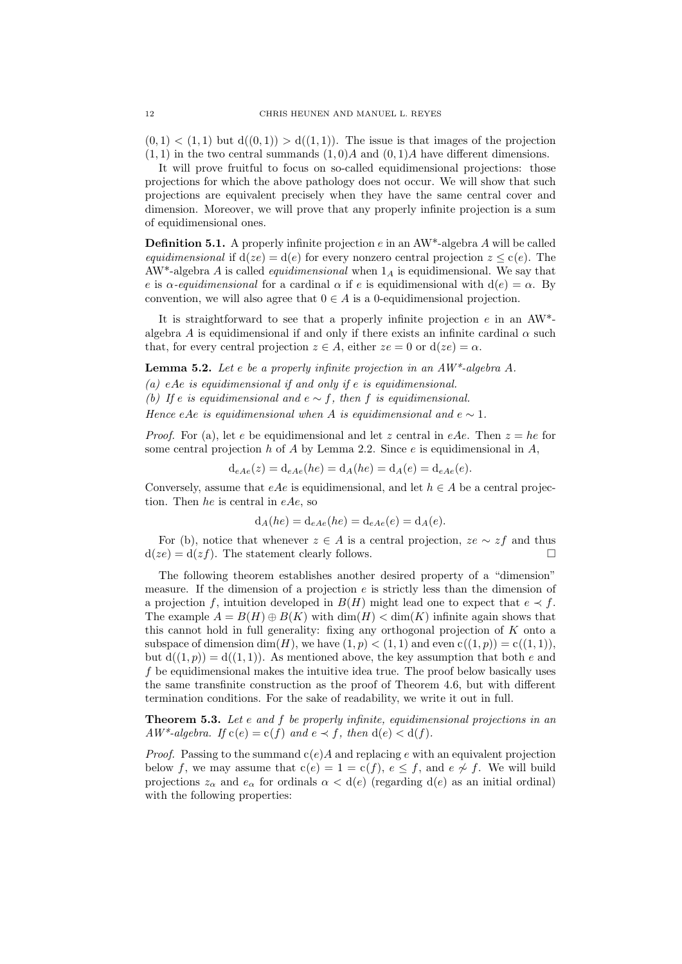$(0, 1) < (1, 1)$  but  $d((0, 1)) > d((1, 1))$ . The issue is that images of the projection  $(1, 1)$  in the two central summands  $(1, 0)A$  and  $(0, 1)A$  have different dimensions.

It will prove fruitful to focus on so-called equidimensional projections: those projections for which the above pathology does not occur. We will show that such projections are equivalent precisely when they have the same central cover and dimension. Moreover, we will prove that any properly infinite projection is a sum of equidimensional ones.

**Definition 5.1.** A properly infinite projection  $e$  in an AW<sup>\*</sup>-algebra A will be called equidimensional if  $d(ze) = d(e)$  for every nonzero central projection  $z \leq c(e)$ . The  $AW^*$ -algebra A is called *equidimensional* when  $1_A$  is equidimensional. We say that e is  $\alpha$ -equidimensional for a cardinal  $\alpha$  if e is equidimensional with  $d(e) = \alpha$ . By convention, we will also agree that  $0 \in A$  is a 0-equidimensional projection.

It is straightforward to see that a properly infinite projection  $e$  in an AW<sup>\*</sup>algebra A is equidimensional if and only if there exists an infinite cardinal  $\alpha$  such that, for every central projection  $z \in A$ , either  $ze = 0$  or  $d(ze) = \alpha$ .

**Lemma 5.2.** Let e be a properly infinite projection in an  $AW^*$ -algebra A.

(a) eAe is equidimensional if and only if  $e$  is equidimensional.

(b) If e is equidimensional and  $e \sim f$ , then f is equidimensional.

Hence eAe is equidimensional when A is equidimensional and  $e \sim 1$ .

*Proof.* For (a), let e be equidimensional and let z central in eAe. Then  $z = he$  for some central projection  $h$  of  $A$  by Lemma 2.2. Since  $e$  is equidimensional in  $A$ ,

$$
d_{eAe}(z) = d_{eAe}(he) = d_A(he) = d_A(e) = d_{eAe}(e).
$$

Conversely, assume that  $eAe$  is equidimensional, and let  $h \in A$  be a central projection. Then he is central in  $eAe$ , so

$$
\mathrm{d}_A(he) = \mathrm{d}_{eAe}(he) = \mathrm{d}_{eAe}(e) = \mathrm{d}_A(e).
$$

For (b), notice that whenever  $z \in A$  is a central projection,  $ze \sim zf$  and thus  $d(ze) = d(zf)$ . The statement clearly follows.

The following theorem establishes another desired property of a "dimension" measure. If the dimension of a projection  $e$  is strictly less than the dimension of a projection f, intuition developed in  $B(H)$  might lead one to expect that  $e \prec f$ . The example  $A = B(H) \oplus B(K)$  with  $\dim(H) < \dim(K)$  infinite again shows that this cannot hold in full generality: fixing any orthogonal projection of K onto a subspace of dimension dim(H), we have  $(1, p) < (1, 1)$  and even  $c((1, p)) = c((1, 1)),$ but  $d((1, p)) = d((1, 1))$ . As mentioned above, the key assumption that both e and  $f$  be equidimensional makes the intuitive idea true. The proof below basically uses the same transfinite construction as the proof of Theorem 4.6, but with different termination conditions. For the sake of readability, we write it out in full.

Theorem 5.3. Let e and f be properly infinite, equidimensional projections in an  $AW^*$ -algebra. If  $c(e) = c(f)$  and  $e \prec f$ , then  $d(e) < d(f)$ .

*Proof.* Passing to the summand  $c(e)A$  and replacing e with an equivalent projection below f, we may assume that  $c(e) = 1 = c(f)$ ,  $e \leq f$ , and  $e \not\sim f$ . We will build projections  $z_{\alpha}$  and  $e_{\alpha}$  for ordinals  $\alpha < d(e)$  (regarding  $d(e)$  as an initial ordinal) with the following properties: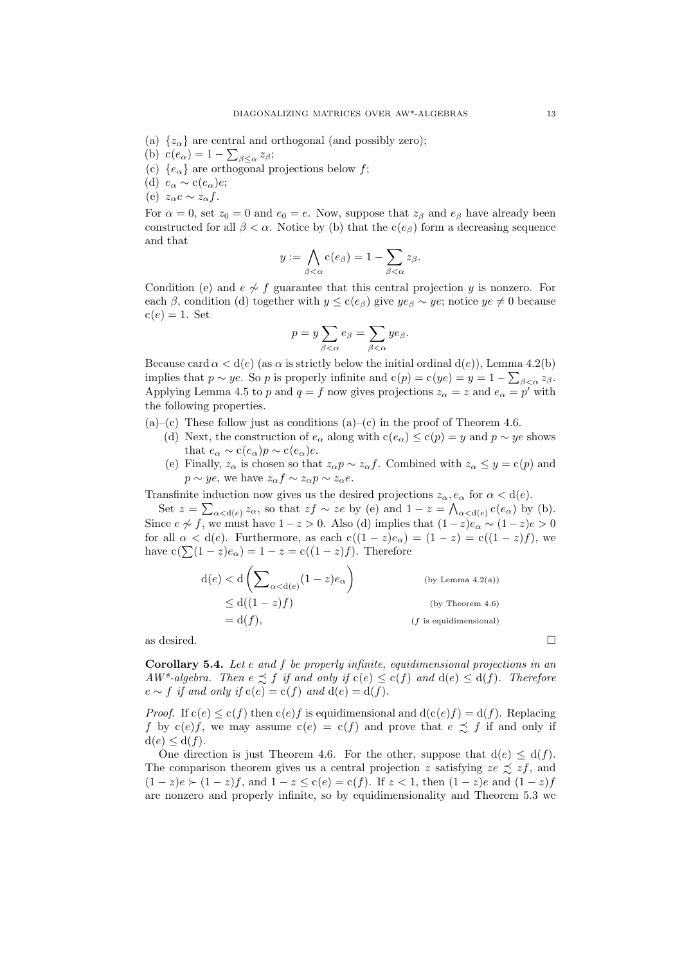- (a)  $\{z_{\alpha}\}\$ are central and orthogonal (and possibly zero);
- (b)  $c(e_{\alpha}) = 1 \sum_{\beta \leq \alpha} z_{\beta};$
- (c)  ${e_{\alpha}}$  are orthogonal projections below f;
- (d)  $e_{\alpha} \sim c(e_{\alpha})e;$
- (e)  $z_{\alpha}e \sim z_{\alpha}f$ .

For  $\alpha = 0$ , set  $z_0 = 0$  and  $e_0 = e$ . Now, suppose that  $z_\beta$  and  $e_\beta$  have already been constructed for all  $\beta < \alpha$ . Notice by (b) that the c(e<sub>β</sub>) form a decreasing sequence and that

$$
y := \bigwedge_{\beta < \alpha} \mathbf{c}(e_{\beta}) = 1 - \sum_{\beta < \alpha} z_{\beta}.
$$

Condition (e) and  $e \nightharpoondown f$  guarantee that this central projection y is nonzero. For each β, condition (d) together with  $y \leq c(e_\beta)$  give  $ye_\beta \sim ye$ ; notice  $ye \neq 0$  because  $c(e) = 1$ . Set

$$
p = y \sum_{\beta < \alpha} e_{\beta} = \sum_{\beta < \alpha} y e_{\beta}.
$$

Because card  $\alpha < d(e)$  (as  $\alpha$  is strictly below the initial ordinal  $d(e)$ ), Lemma 4.2(b) implies that  $p \sim ye$ . So p is properly infinite and  $c(p) = c(ye) = y = 1 - \sum_{\beta < \alpha} z_{\beta}$ . Applying Lemma 4.5 to p and  $q = f$  now gives projections  $z_{\alpha} = z$  and  $e_{\alpha} = p'$  with the following properties.

- $(a)$ –(c) These follow just as conditions  $(a)$ –(c) in the proof of Theorem 4.6.
	- (d) Next, the construction of  $e_{\alpha}$  along with  $c(e_{\alpha}) \leq c(p) = y$  and  $p \sim ye$  shows that  $e_{\alpha} \sim c(e_{\alpha})p \sim c(e_{\alpha})e$ .
	- (e) Finally,  $z_{\alpha}$  is chosen so that  $z_{\alpha}p \sim z_{\alpha}f$ . Combined with  $z_{\alpha} \leq y = c(p)$  and  $p \sim ye$ , we have  $z_{\alpha} f \sim z_{\alpha} p \sim z_{\alpha} e$ .

Transfinite induction now gives us the desired projections  $z_{\alpha}, e_{\alpha}$  for  $\alpha < d(e)$ .

Set  $z = \sum_{\alpha < d(e)} z_{\alpha}$ , so that  $zf \sim ze$  by (e) and  $1 - z = \bigwedge_{\alpha < d(e)} c(e_{\alpha})$  by (b). Since  $e \nsim f$ , we must have  $1-z > 0$ . Also (d) implies that  $(1-z)e_{\alpha} \sim (1-z)e > 0$ for all  $\alpha < d(e)$ . Furthermore, as each  $c((1-z)e_{\alpha}) = (1-z) = c((1-z)f)$ , we have  $c(\sum (1 - z)e_{\alpha}) = 1 - z = c((1 - z)f)$ . Therefore

$$
d(e) < d\left(\sum_{\alpha < d(e)} (1 - z)e_{\alpha}\right)
$$
 (by Lemma 4.2(a))  
\n
$$
\leq d((1 - z)f)
$$
 (by Theorem 4.6)  
\n
$$
= d(f),
$$
 (f is equidimensional)

as desired.  $\Box$ 

Corollary 5.4. Let e and f be properly infinite, equidimensional projections in an  $AW^*$ -algebra. Then  $e \precsim f$  if and only if  $c(e) \leq c(f)$  and  $d(e) \leq d(f)$ . Therefore  $e \sim f$  if and only if  $c(e) = c(f)$  and  $d(e) = d(f)$ .

*Proof.* If  $c(e) \leq c(f)$  then  $c(e)f$  is equidimensional and  $d(c(e)f) = d(f)$ . Replacing f by  $c(e)f$ , we may assume  $c(e) = c(f)$  and prove that  $e \precsim f$  if and only if  $d(e) \leq d(f)$ .

One direction is just Theorem 4.6. For the other, suppose that  $d(e) \leq d(f)$ . The comparison theorem gives us a central projection z satisfying  $ze \precsim zf$ , and  $(1-z)e \succ (1-z)f$ , and  $1-z \leq c(e) = c(f)$ . If  $z < 1$ , then  $(1-z)e$  and  $(1-z)f$ are nonzero and properly infinite, so by equidimensionality and Theorem 5.3 we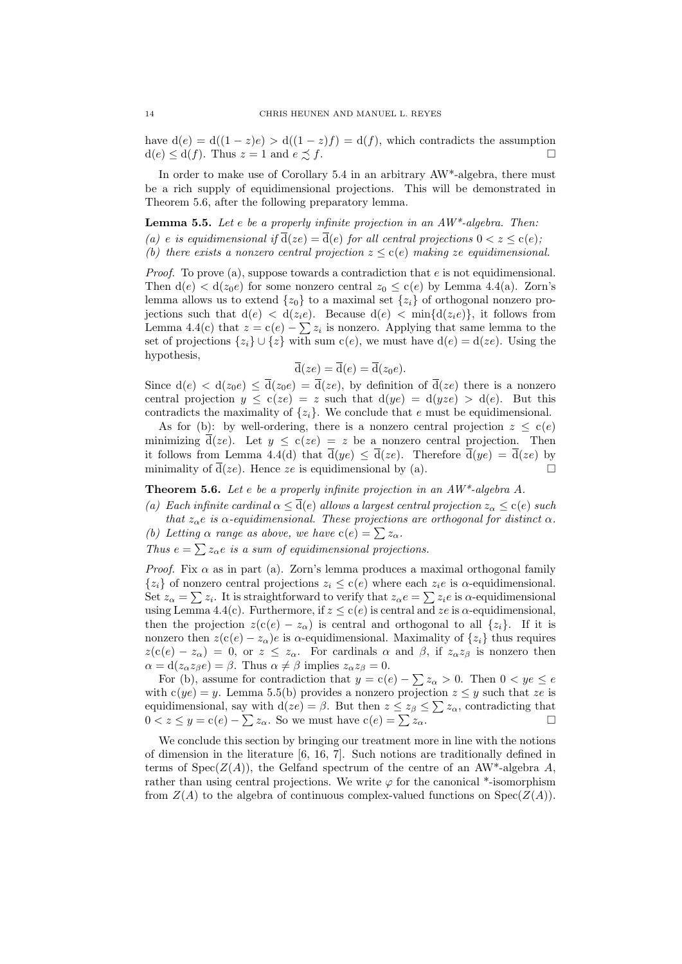have  $d(e) = d((1 - z)e) > d((1 - z)f) = d(f)$ , which contradicts the assumption  $d(e) \leq d(f)$ . Thus  $z = 1$  and  $e \precsim f$ .

In order to make use of Corollary 5.4 in an arbitrary AW\*-algebra, there must be a rich supply of equidimensional projections. This will be demonstrated in Theorem 5.6, after the following preparatory lemma.

**Lemma 5.5.** Let  $e$  be a properly infinite projection in an  $AW^*$ -algebra. Then: (a) e is equidimensional if  $\overline{d}(ze) = \overline{d}(e)$  for all central projections  $0 < z \leq c(e)$ ; (b) there exists a nonzero central projection  $z \leq c(e)$  making ze equidimensional.

*Proof.* To prove (a), suppose towards a contradiction that  $e$  is not equidimensional. Then  $d(e) < d(z_0e)$  for some nonzero central  $z_0 \leq c(e)$  by Lemma 4.4(a). Zorn's lemma allows us to extend  $\{z_0\}$  to a maximal set  $\{z_i\}$  of orthogonal nonzero projections such that  $d(e) < d(z_i e)$ . Because  $d(e) < \min\{d(z_i e)\}\text{, it follows from }$ Lemma 4.4(c) that  $z = c(e) - \sum z_i$  is nonzero. Applying that same lemma to the set of projections  $\{z_i\} \cup \{z\}$  with sum  $c(e)$ , we must have  $d(e) = d(ze)$ . Using the hypothesis,

$$
\overline{\mathrm{d}}(ze) = \overline{\mathrm{d}}(e) = \overline{\mathrm{d}}(z_0e).
$$

Since  $d(e) < d(z_0 e) \le \overline{d}(z_0 e) = \overline{d}(ze)$ , by definition of  $\overline{d}(ze)$  there is a nonzero central projection  $y \le c(ze) = z$  such that  $d(ye) = d(yze) > d(e)$ . But this contradicts the maximality of  $\{z_i\}$ . We conclude that e must be equidimensional.

As for (b): by well-ordering, there is a nonzero central projection  $z \leq c(e)$ minimizing  $\bar{d}(ze)$ . Let  $y \leq c(ze) = z$  be a nonzero central projection. Then it follows from Lemma 4.4(d) that  $\bar{d}(ye) \leq \bar{d}(ze)$ . Therefore  $\bar{d}(ye) = \bar{d}(ze)$  by minimality of  $\overline{d}(ze)$ . Hence ze is equidimensional by (a).

**Theorem 5.6.** Let e be a properly infinite projection in an  $AW^*$ -algebra A.

(a) Each infinite cardinal  $\alpha \leq \overline{d}(e)$  allows a largest central projection  $z_{\alpha} \leq c(e)$  such that  $z_{\alpha}e$  is  $\alpha$ -equidimensional. These projections are orthogonal for distinct  $\alpha$ . (b) Letting  $\alpha$  range as above, we have  $c(e) = \sum z_\alpha$ .

Thus  $e = \sum z_\alpha e$  is a sum of equidimensional projections.

*Proof.* Fix  $\alpha$  as in part (a). Zorn's lemma produces a maximal orthogonal family  ${z_i}$  of nonzero central projections  $z_i \leq c(e)$  where each  $z_i e$  is  $\alpha$ -equidimensional. Set  $z_{\alpha} = \sum z_i$ . It is straightforward to verify that  $z_{\alpha}e = \sum z_i e$  is  $\alpha$ -equidimensional using Lemma 4.4(c). Furthermore, if  $z \leq c(e)$  is central and  $ze$  is  $\alpha$ -equidimensional, then the projection  $z(c(e) - z_\alpha)$  is central and orthogonal to all  $\{z_i\}$ . If it is nonzero then  $z(c(e) - z_\alpha)e$  is  $\alpha$ -equidimensional. Maximality of  $\{z_i\}$  thus requires  $z(c(e) - z_\alpha) = 0$ , or  $z \le z_\alpha$ . For cardinals  $\alpha$  and  $\beta$ , if  $z_\alpha z_\beta$  is nonzero then  $\alpha = d(z_{\alpha}z_{\beta}e) = \beta$ . Thus  $\alpha \neq \beta$  implies  $z_{\alpha}z_{\beta} = 0$ .

For (b), assume for contradiction that  $y = c(e) - \sum z_\alpha > 0$ . Then  $0 < ye \le e$ with  $c(ye) = y$ . Lemma 5.5(b) provides a nonzero projection  $z \leq y$  such that ze is equidimensional, say with  $d(ze) = \beta$ . But then  $z \leq z_\beta \leq \sum z_\alpha$ , contradicting that  $0 < z \leq y = c(e) - \sum z_{\alpha}$ . So we must have  $c(e) = \sum z_{\alpha}$ .

We conclude this section by bringing our treatment more in line with the notions of dimension in the literature [6, 16, 7]. Such notions are traditionally defined in terms of  $Spec(Z(A))$ , the Gelfand spectrum of the centre of an AW\*-algebra A, rather than using central projections. We write  $\varphi$  for the canonical \*-isomorphism from  $Z(A)$  to the algebra of continuous complex-valued functions on  $Spec(Z(A)).$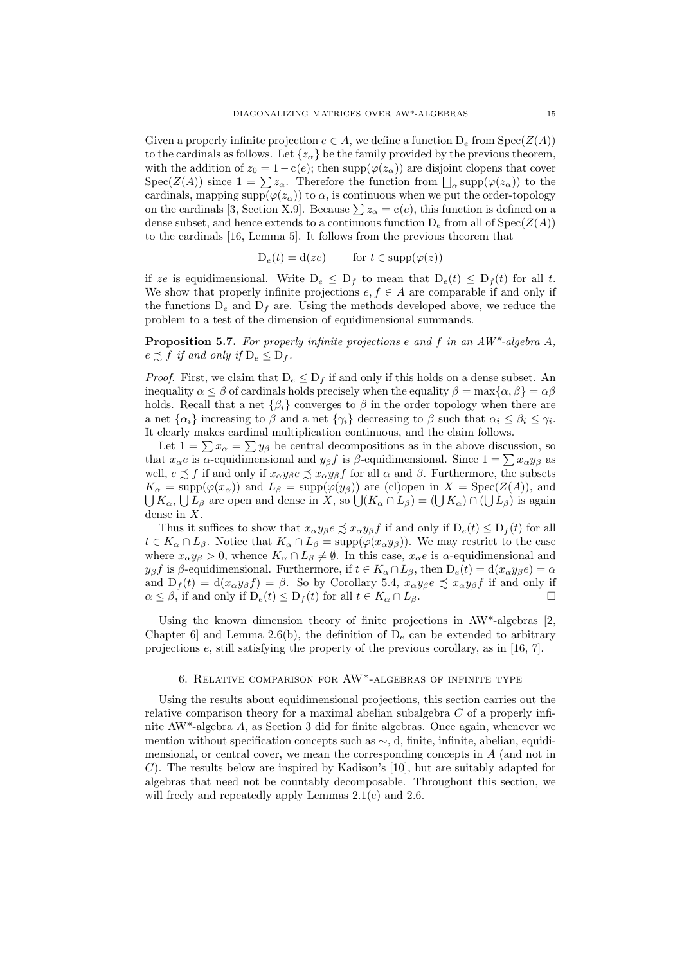Given a properly infinite projection  $e \in A$ , we define a function  $D_e$  from  $Spec(Z(A))$ to the cardinals as follows. Let  $\{z_\alpha\}$  be the family provided by the previous theorem, with the addition of  $z_0 = 1 - c(e)$ ; then supp $(\varphi(z_\alpha))$  are disjoint clopens that cover  $Spec(Z(A))$  since  $1 = \sum z_\alpha$ . Therefore the function from  $\bigcup_\alpha supp(\varphi(z_\alpha))$  to the cardinals, mapping supp $(\varphi(z_\alpha))$  to  $\alpha$ , is continuous when we put the order-topology on the cardinals [3, Section X.9]. Because  $\sum z_\alpha = c(e)$ , this function is defined on a dense subset, and hence extends to a continuous function  $D_e$  from all of  $Spec(Z(A))$ to the cardinals [16, Lemma 5]. It follows from the previous theorem that

 $D_e(t) = d(ze)$  for  $t \in \text{supp}(\varphi(z))$ 

if ze is equidimensional. Write  $D_e \leq D_f$  to mean that  $D_e(t) \leq D_f(t)$  for all t. We show that properly infinite projections  $e, f \in A$  are comparable if and only if the functions  $D_e$  and  $D_f$  are. Using the methods developed above, we reduce the problem to a test of the dimension of equidimensional summands.

**Proposition 5.7.** For properly infinite projections e and f in an  $AW^*$ -algebra A,  $e \preceq f$  if and only if  $D_e \leq D_f$ .

*Proof.* First, we claim that  $D_e \leq D_f$  if and only if this holds on a dense subset. An inequality  $\alpha \leq \beta$  of cardinals holds precisely when the equality  $\beta = \max{\alpha, \beta} = \alpha\beta$ holds. Recall that a net  $\{\beta_i\}$  converges to  $\beta$  in the order topology when there are a net  $\{\alpha_i\}$  increasing to  $\beta$  and a net  $\{\gamma_i\}$  decreasing to  $\beta$  such that  $\alpha_i \leq \beta_i \leq \gamma_i$ . It clearly makes cardinal multiplication continuous, and the claim follows.

Let  $1 = \sum x_{\alpha} = \sum y_{\beta}$  be central decompositions as in the above discussion, so that  $x_\alpha e$  is  $\alpha$ -equidimensional and  $y_\beta f$  is  $\beta$ -equidimensional. Since  $1 = \sum x_\alpha y_\beta$  as well,  $e \precsim f$  if and only if  $x_{\alpha}y_{\beta}e \precsim x_{\alpha}y_{\beta}f$  for all  $\alpha$  and  $\beta$ . Furthermore, the subsets  $K_{\alpha} = \text{supp}(\varphi(x_{\alpha}))$  and  $L_{\beta} = \text{supp}(\varphi(y_{\beta}))$  are (cl)open in  $X = \text{Spec}(Z(A))$ , and  $\bigcup K_\alpha, \bigcup L_\beta$  are open and dense in X, so  $\bigcup (K_\alpha \cap L_\beta) = (\bigcup K_\alpha) \cap (\bigcup L_\beta)$  is again dense in X.

Thus it suffices to show that  $x_{\alpha}y_{\beta}e \precsim x_{\alpha}y_{\beta}f$  if and only if  $D_e(t) \le D_f(t)$  for all  $t \in K_\alpha \cap L_\beta$ . Notice that  $K_\alpha \cap L_\beta = \text{supp}(\varphi(x_\alpha y_\beta))$ . We may restrict to the case where  $x_{\alpha}y_{\beta} > 0$ , whence  $K_{\alpha} \cap L_{\beta} \neq \emptyset$ . In this case,  $x_{\alpha}e$  is  $\alpha$ -equidimensional and  $y_\beta f$  is  $\beta$ -equidimensional. Furthermore, if  $t \in K_\alpha \cap L_\beta$ , then  $D_e(t) = d(x_\alpha y_\beta e) = \alpha$ and  $D_f(t) = d(x_\alpha y_\beta f) = \beta$ . So by Corollary 5.4,  $x_\alpha y_\beta e \precsim x_\alpha y_\beta f$  if and only if  $\alpha \leq \beta$ , if and only if  $D_e(t) \leq D_f(t)$  for all  $t \in K_\alpha \cap L_\beta$ .

Using the known dimension theory of finite projections in  $AW^*$ -algebras [2, Chapter 6] and Lemma 2.6(b), the definition of  $D_e$  can be extended to arbitrary projections e, still satisfying the property of the previous corollary, as in [16, 7].

## 6. Relative comparison for AW\*-algebras of infinite type

Using the results about equidimensional projections, this section carries out the relative comparison theory for a maximal abelian subalgebra  $C$  of a properly infinite AW\*-algebra A, as Section 3 did for finite algebras. Once again, whenever we mention without specification concepts such as ∼, d, finite, infinite, abelian, equidimensional, or central cover, we mean the corresponding concepts in A (and not in C). The results below are inspired by Kadison's [10], but are suitably adapted for algebras that need not be countably decomposable. Throughout this section, we will freely and repeatedly apply Lemmas  $2.1(c)$  and  $2.6$ .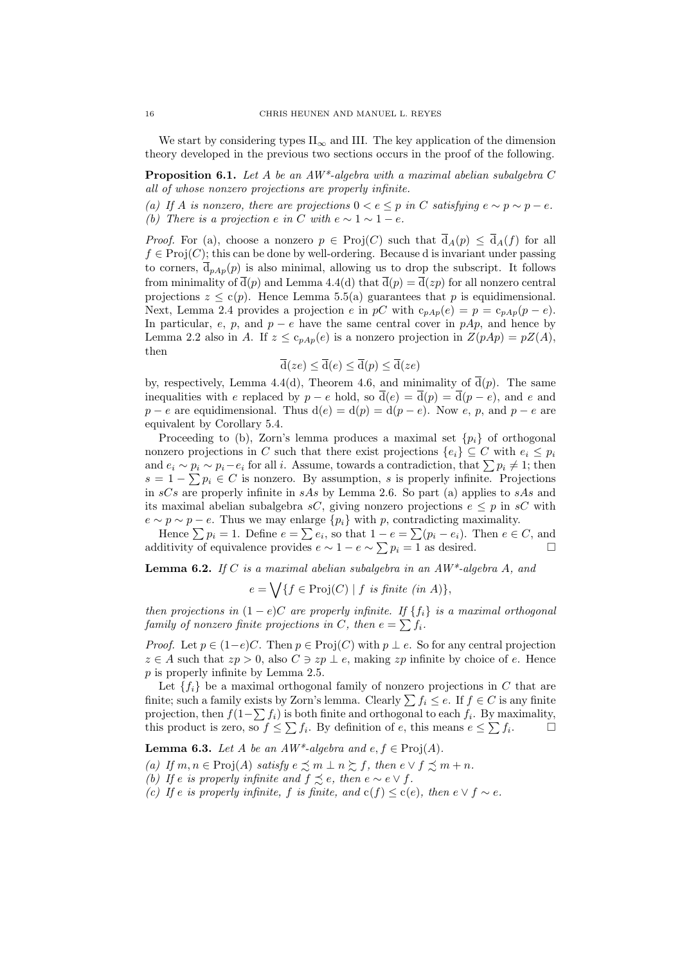We start by considering types  $II_{\infty}$  and III. The key application of the dimension theory developed in the previous two sections occurs in the proof of the following.

**Proposition 6.1.** Let A be an  $AW^*$ -algebra with a maximal abelian subalgebra C all of whose nonzero projections are properly infinite.

(a) If A is nonzero, there are projections  $0 < e \leq p$  in C satisfying  $e \sim p \sim p - e$ . (b) There is a projection e in C with  $e \sim 1 \sim 1 - e$ .

*Proof.* For (a), choose a nonzero  $p \in Proj(C)$  such that  $\overline{d}_A(p) \leq \overline{d}_A(f)$  for all  $f \in \text{Proj}(C)$ ; this can be done by well-ordering. Because d is invariant under passing to corners,  $\bar{d}_{pAp}(p)$  is also minimal, allowing us to drop the subscript. It follows from minimality of  $\bar{d}(p)$  and Lemma 4.4(d) that  $\bar{d}(p) = \bar{d}(zp)$  for all nonzero central projections  $z \leq c(p)$ . Hence Lemma 5.5(a) guarantees that p is equidimensional. Next, Lemma 2.4 provides a projection e in pC with  $c_{pAp}(e) = p = c_{pAp}(p - e)$ . In particular, e, p, and  $p - e$  have the same central cover in pAp, and hence by Lemma 2.2 also in A. If  $z \leq c_{pAp}(e)$  is a nonzero projection in  $Z(pAp) = pZ(A)$ , then

$$
\overline{\mathrm{d}}(ze) \leq \overline{\mathrm{d}}(e) \leq \overline{\mathrm{d}}(p) \leq \overline{\mathrm{d}}(ze)
$$

by, respectively, Lemma 4.4(d), Theorem 4.6, and minimality of  $\bar{d}(p)$ . The same inequalities with e replaced by  $p - e$  hold, so  $\overline{d}(e) = \overline{d}(p) = \overline{d}(p - e)$ , and e and  $p - e$  are equidimensional. Thus  $d(e) = d(p) = d(p - e)$ . Now e, p, and  $p - e$  are equivalent by Corollary 5.4.

Proceeding to (b), Zorn's lemma produces a maximal set  $\{p_i\}$  of orthogonal nonzero projections in C such that there exist projections  ${e_i} \subseteq C$  with  $e_i \leq p_i$ and  $e_i \sim p_i \sim p_i - e_i$  for all i. Assume, towards a contradiction, that  $\sum p_i \neq 1$ ; then  $s = 1 - \sum p_i \in C$  is nonzero. By assumption, s is properly infinite. Projections in  $sCs$  are properly infinite in  $sAs$  by Lemma 2.6. So part (a) applies to  $sAs$  and its maximal abelian subalgebra sC, giving nonzero projections  $e \leq p$  in sC with  $e \sim p \sim p - e$ . Thus we may enlarge  $\{p_i\}$  with p, contradicting maximality.

Hence  $\sum p_i = 1$ . Define  $e = \sum e_i$ , so that  $1 - e = \sum (p_i - e_i)$ . Then  $e \in C$ , and additivity of equivalence provides  $e \sim 1 - e \sim \sum p_i = 1$  as desired. □

**Lemma 6.2.** If C is a maximal abelian subalgebra in an  $AW^*$ -algebra A, and

$$
e = \bigvee \{ f \in \text{Proj}(C) \mid f \text{ is finite } (in \ A) \},
$$

then projections in  $(1-e)C$  are properly infinite. If  $\{f_i\}$  is a maximal orthogonal family of nonzero finite projections in C, then  $e = \sum f_i$ .

*Proof.* Let  $p \in (1-e)C$ . Then  $p \in \text{Proj}(C)$  with  $p \perp e$ . So for any central projection  $z \in A$  such that  $zp > 0$ , also  $C \ni zp \perp e$ , making  $zp$  infinite by choice of e. Hence p is properly infinite by Lemma 2.5.

Let  ${f_i}$  be a maximal orthogonal family of nonzero projections in C that are finite; such a family exists by Zorn's lemma. Clearly  $\sum f_i \le e$ . If  $f \in C$  is any finite projection, then  $f(1-\sum f_i)$  is both finite and orthogonal to each  $f_i$ . By maximality, this product is zero, so  $f \leq \sum f_i$ . By definition of e, this means  $e \leq \sum f_i$ . . — П

**Lemma 6.3.** Let A be an  $AW^*$ -algebra and  $e, f \in \text{Proj}(A)$ .

(a) If  $m, n \in \text{Proj}(A)$  satisfy  $e \precsim m \perp n \succeq f$ , then  $e \vee f \precsim m + n$ .

(b) If e is properly infinite and  $f \precsim e$ , then  $e \sim e \vee f$ .

(c) If e is properly infinite, f is finite, and  $c(f) \leq c(e)$ , then  $e \vee f \sim e$ .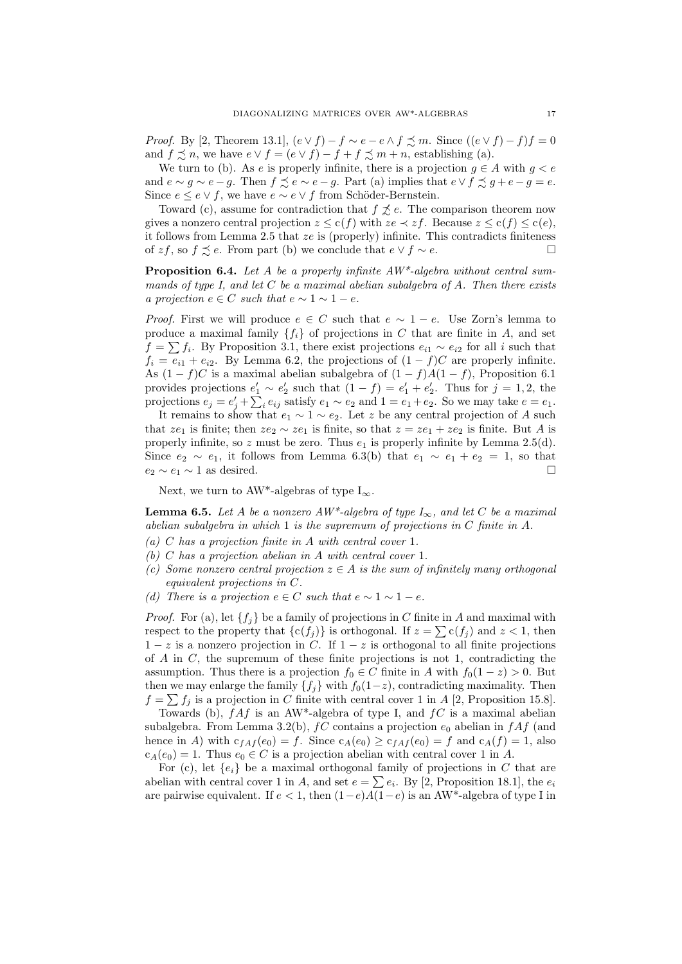*Proof.* By [2, Theorem 13.1],  $(e \vee f) - f \sim e - e \wedge f \precsim m$ . Since  $((e \vee f) - f)f = 0$ and  $f \precsim n$ , we have  $e \vee f = (e \vee f) - f + f \precsim m + n$ , establishing (a).

We turn to (b). As e is properly infinite, there is a projection  $g \in A$  with  $g < e$ and  $e \sim g \sim e - g$ . Then  $f \precsim e \sim e - g$ . Part (a) implies that  $e \vee f \precsim g + e - g = e$ . Since  $e \leq e \vee f$ , we have  $e \sim e \vee f$  from Schöder-Bernstein.

Toward (c), assume for contradiction that  $f \not\preceq e$ . The comparison theorem now gives a nonzero central projection  $z \leq c(f)$  with  $ze \prec zf$ . Because  $z \leq c(f) \leq c(e)$ , it follows from Lemma 2.5 that ze is (properly) infinite. This contradicts finiteness of zf, so  $f \precsim e$ . From part (b) we conclude that  $e \vee f \sim e$ .  $\Box$ 

**Proposition 6.4.** Let A be a properly infinite  $AW^*$ -algebra without central summands of type I, and let  $C$  be a maximal abelian subalgebra of  $A$ . Then there exists a projection  $e \in C$  such that  $e \sim 1 \sim 1 - e$ .

*Proof.* First we will produce  $e \in C$  such that  $e \sim 1 - e$ . Use Zorn's lemma to produce a maximal family  $\{f_i\}$  of projections in C that are finite in A, and set  $f = \sum f_i$ . By Proposition 3.1, there exist projections  $e_{i1} \sim e_{i2}$  for all i such that  $f_i = e_{i1} + e_{i2}$ . By Lemma 6.2, the projections of  $(1 - f)C$  are properly infinite. As  $(1-f)C$  is a maximal abelian subalgebra of  $(1-f)A(1-f)$ , Proposition 6.1 provides projections  $e'_1 \sim e'_2$  such that  $(1-f) = e'_1 + e'_2$ . Thus for  $j = 1, 2$ , the projections  $e_j = e'_j + \sum_i e_{ij}$  satisfy  $e_1 \sim e_2$  and  $1 = e_1 + e_2$ . So we may take  $e = e_1$ .

It remains to show that  $e_1 \sim 1 \sim e_2$ . Let z be any central projection of A such that  $ze_1$  is finite; then  $ze_2 \sim ze_1$  is finite, so that  $z = ze_1 + ze_2$  is finite. But A is properly infinite, so  $z$  must be zero. Thus  $e_1$  is properly infinite by Lemma 2.5(d). Since  $e_2 \sim e_1$ , it follows from Lemma 6.3(b) that  $e_1 \sim e_1 + e_2 = 1$ , so that  $e_2 \sim e_1 \sim 1$  as desired.

Next, we turn to AW<sup>\*</sup>-algebras of type  $I_{\infty}$ .

**Lemma 6.5.** Let A be a nonzero  $AW^*$ -algebra of type  $I_\infty$ , and let C be a maximal abelian subalgebra in which 1 is the supremum of projections in C finite in A.

- (a) C has a projection finite in A with central cover 1.
- (b) C has a projection abelian in A with central cover 1.
- (c) Some nonzero central projection  $z \in A$  is the sum of infinitely many orthogonal equivalent projections in C.
- (d) There is a projection  $e \in C$  such that  $e \sim 1 \sim 1 e$ .

*Proof.* For (a), let  $\{f_i\}$  be a family of projections in C finite in A and maximal with respect to the property that  ${c(f_j)}$  is orthogonal. If  $z = \sum c(f_j)$  and  $z < 1$ , then  $1 - z$  is a nonzero projection in C. If  $1 - z$  is orthogonal to all finite projections of  $A$  in  $C$ , the supremum of these finite projections is not 1, contradicting the assumption. Thus there is a projection  $f_0 \in C$  finite in A with  $f_0(1-z) > 0$ . But then we may enlarge the family  ${f_i}$  with  $f_0(1-z)$ , contradicting maximality. Then  $f = \sum f_j$  is a projection in C finite with central cover 1 in A [2, Proposition 15.8].

Towards (b),  $f \Lambda f$  is an AW<sup>\*</sup>-algebra of type I, and  $f C$  is a maximal abelian subalgebra. From Lemma 3.2(b),  $fC$  contains a projection  $e_0$  abelian in  $fA f$  (and hence in A) with  $c_{fAf}(e_0) = f$ . Since  $c_A(e_0) \geq c_{fAf}(e_0) = f$  and  $c_A(f) = 1$ , also  $c_A(e_0) = 1$ . Thus  $e_0 \in C$  is a projection abelian with central cover 1 in A.

For (c), let  $\{e_i\}$  be a maximal orthogonal family of projections in C that are abelian with central cover 1 in A, and set  $e = \sum e_i$ . By [2, Proposition 18.1], the  $e_i$ are pairwise equivalent. If  $e < 1$ , then  $(1-e)A\overline{(1-e)}$  is an AW<sup>\*</sup>-algebra of type I in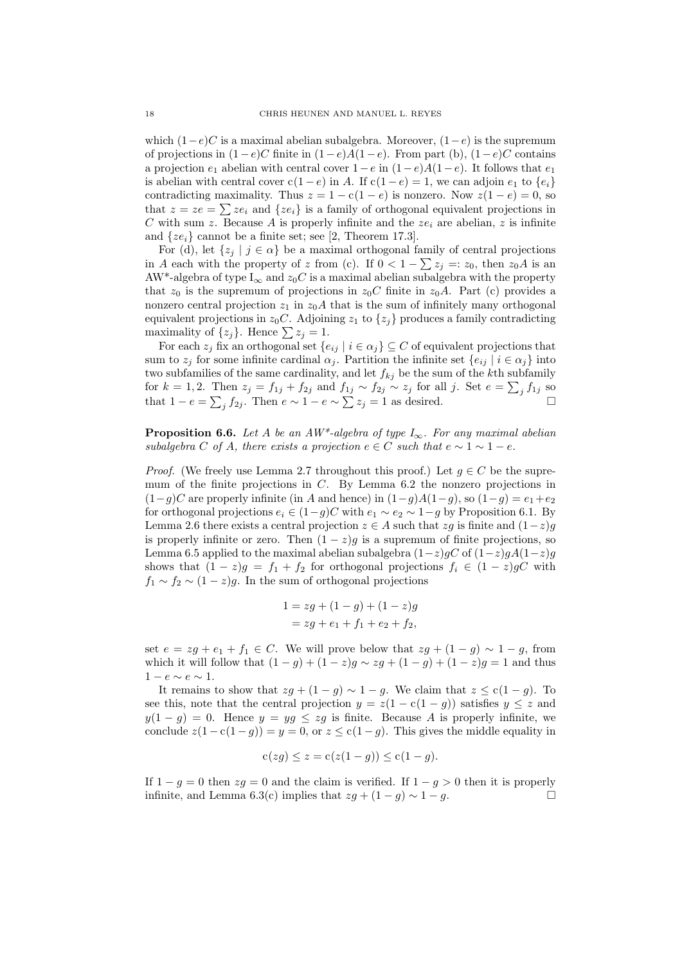which  $(1-e)C$  is a maximal abelian subalgebra. Moreover,  $(1-e)$  is the supremum of projections in  $(1-e)C$  finite in  $(1-e)A(1-e)$ . From part (b),  $(1-e)C$  contains a projection  $e_1$  abelian with central cover  $1-e$  in  $(1-e)A(1-e)$ . It follows that  $e_1$ is abelian with central cover c(1 – e) in A. If  $c(1-e) = 1$ , we can adjoin  $e_1$  to  $\{e_i\}$ contradicting maximality. Thus  $z = 1 - c(1 - e)$  is nonzero. Now  $z(1 - e) = 0$ , so that  $z = ze = \sum ze_i$  and  $\{ze_i\}$  is a family of orthogonal equivalent projections in C with sum z. Because A is properly infinite and the  $ze_i$  are abelian, z is infinite and  $\{ze_i\}$  cannot be a finite set; see [2, Theorem 17.3].

For (d), let  $\{z_j \mid j \in \alpha\}$  be a maximal orthogonal family of central projections in A each with the property of z from (c). If  $0 < 1 - \sum z_j =: z_0$ , then  $z_0 A$  is an AW<sup>\*</sup>-algebra of type I<sub>∞</sub> and  $z_0C$  is a maximal abelian subalgebra with the property that  $z_0$  is the supremum of projections in  $z_0C$  finite in  $z_0A$ . Part (c) provides a nonzero central projection  $z_1$  in  $z_0A$  that is the sum of infinitely many orthogonal equivalent projections in  $z_0C$ . Adjoining  $z_1$  to  $\{z_j\}$  produces a family contradicting maximality of  $\{z_i\}$ . Hence  $\sum z_i = 1$ .

For each  $z_j$  fix an orthogonal set  $\{e_{ij} | i \in \alpha_j\} \subseteq C$  of equivalent projections that sum to  $z_j$  for some infinite cardinal  $\alpha_j$ . Partition the infinite set  $\{e_{ij} | i \in \alpha_j\}$  into two subfamilies of the same cardinality, and let  $f_{kj}$  be the sum of the kth subfamily for  $k = 1, 2$ . Then  $z_j = f_{1j} + f_{2j}$  and  $f_{1j} \sim f_{2j} \sim z_j$  for all j. Set  $e = \sum_j f_{1j}$  so that  $1 - e = \sum_j f_{2j}$ . Then  $e \sim 1 - e \sim \sum z_j = 1$  as desired.

**Proposition 6.6.** Let A be an AW\*-algebra of type  $I_{\infty}$ . For any maximal abelian subalgebra C of A, there exists a projection  $e \in C$  such that  $e \sim 1 \sim 1 - e$ .

*Proof.* (We freely use Lemma 2.7 throughout this proof.) Let  $g \in C$  be the supremum of the finite projections in  $C$ . By Lemma 6.2 the nonzero projections in  $(1-q)C$  are properly infinite (in A and hence) in  $(1-q)A(1-q)$ , so  $(1-q) = e_1+e_2$ for orthogonal projections  $e_i \in (1-g)C$  with  $e_1 \sim e_2 \sim 1-g$  by Proposition 6.1. By Lemma 2.6 there exists a central projection  $z \in A$  such that  $zg$  is finite and  $(1-z)g$ is properly infinite or zero. Then  $(1 - z)g$  is a supremum of finite projections, so Lemma 6.5 applied to the maximal abelian subalgebra  $(1-z)gC$  of  $(1-z)gA(1-z)g$ shows that  $(1 - z)g = f_1 + f_2$  for orthogonal projections  $f_i \in (1 - z)gC$  with  $f_1 \sim f_2 \sim (1-z)g$ . In the sum of orthogonal projections

$$
1 = zg + (1 - g) + (1 - z)g
$$
  
= zg + e<sub>1</sub> + f<sub>1</sub> + e<sub>2</sub> + f<sub>2</sub>,

set  $e = zg + e_1 + f_1 \in C$ . We will prove below that  $zg + (1 - g) \sim 1 - g$ , from which it will follow that  $(1 - g) + (1 - z)g \sim zg + (1 - g) + (1 - z)g = 1$  and thus  $1 - e \sim e \sim 1$ .

It remains to show that  $zg + (1 - g) \sim 1 - g$ . We claim that  $z \leq c(1 - g)$ . To see this, note that the central projection  $y = z(1 - c(1 - g))$  satisfies  $y \leq z$  and  $y(1-g) = 0$ . Hence  $y = yg \le zg$  is finite. Because A is properly infinite, we conclude  $z(1 - c(1 - g)) = y = 0$ , or  $z \le c(1 - g)$ . This gives the middle equality in

$$
c(zg) \leq z = c(z(1-g)) \leq c(1-g).
$$

If  $1 - g = 0$  then  $zg = 0$  and the claim is verified. If  $1 - g > 0$  then it is properly infinite, and Lemma 6.3(c) implies that  $zq + (1 - q) \sim 1 - q$ .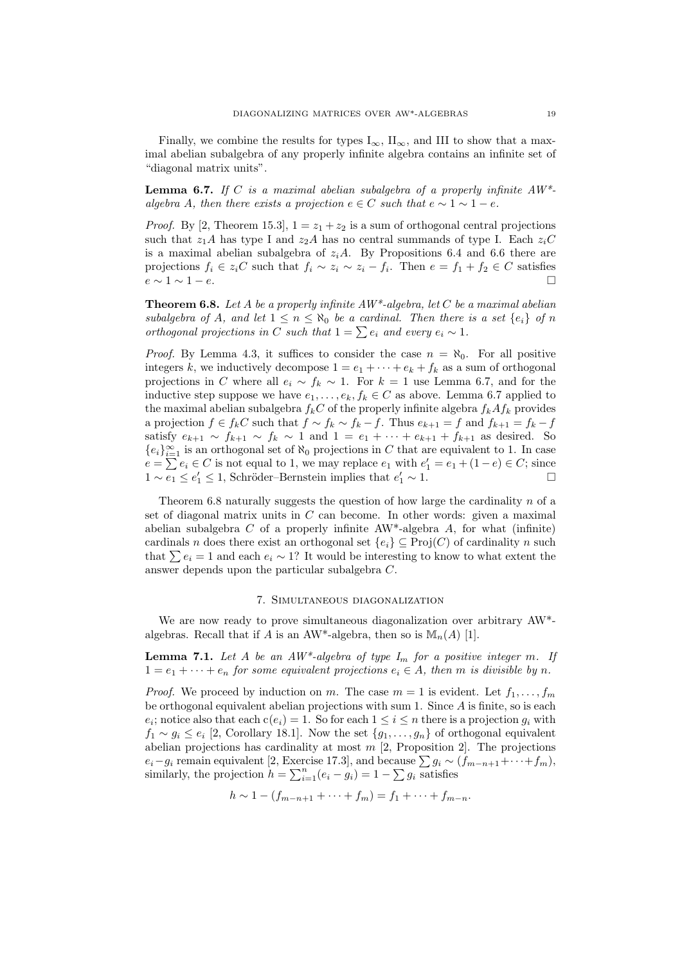Finally, we combine the results for types  $I_{\infty}$ ,  $II_{\infty}$ , and III to show that a maximal abelian subalgebra of any properly infinite algebra contains an infinite set of "diagonal matrix units".

**Lemma 6.7.** If C is a maximal abelian subalgebra of a properly infinite  $AW^*$ algebra A, then there exists a projection  $e \in C$  such that  $e \sim 1 \sim 1 - e$ .

*Proof.* By [2, Theorem 15.3],  $1 = z_1 + z_2$  is a sum of orthogonal central projections such that  $z_1A$  has type I and  $z_2A$  has no central summands of type I. Each  $z_iC$ is a maximal abelian subalgebra of  $z_iA$ . By Propositions 6.4 and 6.6 there are projections  $f_i \in z_i C$  such that  $f_i \sim z_i \sim z_i - f_i$ . Then  $e = f_1 + f_2 \in C$  satisfies  $e \sim 1 \sim 1-e$ .

**Theorem 6.8.** Let A be a properly infinite  $AW^*$ -algebra, let C be a maximal abelian subalgebra of A, and let  $1 \leq n \leq \aleph_0$  be a cardinal. Then there is a set  $\{e_i\}$  of n orthogonal projections in C such that  $1 = \sum e_i$  and every  $e_i \sim 1$ .

*Proof.* By Lemma 4.3, it suffices to consider the case  $n = \aleph_0$ . For all positive integers k, we inductively decompose  $1 = e_1 + \cdots + e_k + f_k$  as a sum of orthogonal projections in C where all  $e_i \sim f_k \sim 1$ . For  $k = 1$  use Lemma 6.7, and for the inductive step suppose we have  $e_1, \ldots, e_k, f_k \in C$  as above. Lemma 6.7 applied to the maximal abelian subalgebra  $f_kC$  of the properly infinite algebra  $f_kAf_k$  provides a projection  $f \in f_k C$  such that  $f \sim f_k \sim f_k - f$ . Thus  $e_{k+1} = f$  and  $f_{k+1} = f_k - f$ satisfy  $e_{k+1} \sim f_{k+1} \sim f_k \sim 1$  and  $1 = e_1 + \cdots + e_{k+1} + f_{k+1}$  as desired. So  ${e_i}_{i=1}^\infty$  is an orthogonal set of  $\aleph_0$  projections in C that are equivalent to 1. In case  $e = \sum e_i \in C$  is not equal to 1, we may replace  $e_1$  with  $e'_1 = e_1 + (1 - e) \in C$ ; since  $1 \sim \overline{e_1} \leq e_1' \leq 1$ , Schröder–Bernstein implies that  $e_1' \sim 1$ . □

Theorem 6.8 naturally suggests the question of how large the cardinality  $n$  of a set of diagonal matrix units in  $C$  can become. In other words: given a maximal abelian subalgebra  $C$  of a properly infinite AW<sup>\*</sup>-algebra  $A$ , for what (infinite) cardinals n does there exist an orthogonal set  ${e_i} \subseteq Proj(C)$  of cardinality n such that  $\sum e_i = 1$  and each  $e_i \sim 1$ ? It would be interesting to know to what extent the answer depends upon the particular subalgebra C.

### 7. Simultaneous diagonalization

We are now ready to prove simultaneous diagonalization over arbitrary AW\* algebras. Recall that if A is an AW\*-algebra, then so is  $\mathbb{M}_n(A)$  [1].

**Lemma 7.1.** Let A be an  $AW^*$ -algebra of type  $I_m$  for a positive integer m. If  $1 = e_1 + \cdots + e_n$  for some equivalent projections  $e_i \in A$ , then m is divisible by n.

*Proof.* We proceed by induction on m. The case  $m = 1$  is evident. Let  $f_1, \ldots, f_m$ be orthogonal equivalent abelian projections with sum 1. Since A is finite, so is each  $e_i$ ; notice also that each  $c(e_i) = 1$ . So for each  $1 \leq i \leq n$  there is a projection  $g_i$  with  $f_1 \sim g_i \leq e_i$  [2, Corollary 18.1]. Now the set  $\{g_1, \ldots, g_n\}$  of orthogonal equivalent abelian projections has cardinality at most  $m$  [2, Proposition 2]. The projections  $e_i-g_i$  remain equivalent [2, Exercise 17.3], and because  $\sum g_i \sim (f_{m-n+1}+\cdots+f_m)$ , similarly, the projection  $h = \sum_{i=1}^{n} (e_i - g_i) = 1 - \sum g_i$  satisfies

$$
h \sim 1 - (f_{m-n+1} + \dots + f_m) = f_1 + \dots + f_{m-n}.
$$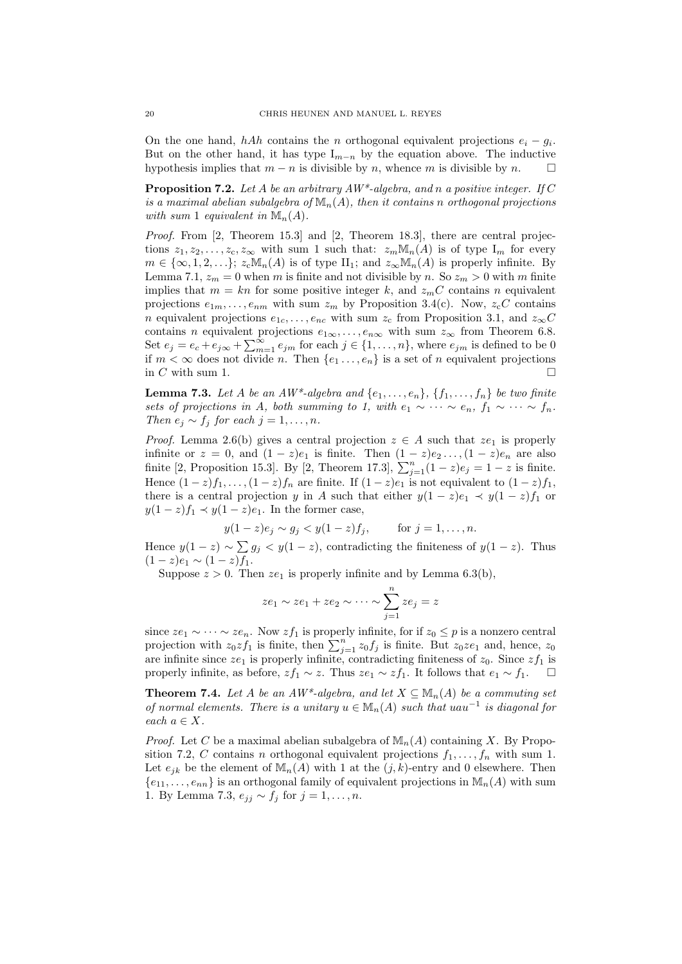On the one hand, hAh contains the n orthogonal equivalent projections  $e_i - g_i$ . But on the other hand, it has type  $I_{m-n}$  by the equation above. The inductive hypothesis implies that  $m - n$  is divisible by n, whence m is divisible by n.  $\square$ 

**Proposition 7.2.** Let A be an arbitrary  $AW^*$ -algebra, and n a positive integer. If C is a maximal abelian subalgebra of  $\mathbb{M}_{n}(A)$ , then it contains n orthogonal projections with sum 1 equivalent in  $\mathbb{M}_n(A)$ .

Proof. From [2, Theorem 15.3] and [2, Theorem 18.3], there are central projections  $z_1, z_2, \ldots, z_c, z_\infty$  with sum 1 such that:  $z_m \mathbb{M}_n(A)$  is of type  $I_m$  for every  $m \in \{\infty, 1, 2, \ldots\}; z_c \mathbb{M}_n(A)$  is of type  $\mathrm{II}_1$ ; and  $z_\infty \mathbb{M}_n(A)$  is properly infinite. By Lemma 7.1,  $z_m = 0$  when m is finite and not divisible by n. So  $z_m > 0$  with m finite implies that  $m = kn$  for some positive integer k, and  $z_mC$  contains n equivalent projections  $e_{1m}, \ldots, e_{nm}$  with sum  $z_m$  by Proposition 3.4(c). Now,  $z_cC$  contains n equivalent projections  $e_{1c}, \ldots, e_{nc}$  with sum  $z_c$  from Proposition 3.1, and  $z_{\infty}C$ contains n equivalent projections  $e_{1\infty}, \ldots, e_{n\infty}$  with sum  $z_{\infty}$  from Theorem 6.8. Set  $e_j = e_c + e_{j\infty} + \sum_{m=1}^{\infty} e_{jm}$  for each  $j \in \{1, \ldots, n\}$ , where  $e_{jm}$  is defined to be 0 if  $m < \infty$  does not divide n. Then  $\{e_1 \ldots, e_n\}$  is a set of n equivalent projections in  $C$  with sum 1.

**Lemma 7.3.** Let A be an AW\*-algebra and  $\{e_1, \ldots, e_n\}$ ,  $\{f_1, \ldots, f_n\}$  be two finite sets of projections in A, both summing to 1, with  $e_1 \sim \cdots \sim e_n$ ,  $f_1 \sim \cdots \sim f_n$ . Then  $e_j \sim f_j$  for each  $j = 1, \ldots, n$ .

*Proof.* Lemma 2.6(b) gives a central projection  $z \in A$  such that  $ze_1$  is properly infinite or  $z = 0$ , and  $(1 - z)e_1$  is finite. Then  $(1 - z)e_2 \ldots (1 - z)e_n$  are also finite [2, Proposition 15.3]. By [2, Theorem 17.3],  $\sum_{j=1}^{n} (1-z)e_j = 1-z$  is finite. Hence  $(1-z)f_1, \ldots, (1-z)f_n$  are finite. If  $(1-z)e_1$  is not equivalent to  $(1-z)f_1$ , there is a central projection y in A such that either  $y(1-z)e_1 \prec y(1-z)f_1$  or  $y(1-z)f_1 \prec y(1-z)e_1$ . In the former case,

$$
y(1-z)e_j \sim g_j < y(1-z)f_j
$$
, for  $j = 1, ..., n$ .

Hence  $y(1-z) \sim \sum g_j < y(1-z)$ , contradicting the finiteness of  $y(1-z)$ . Thus  $(1-z)e_1 \sim (1-z)f_1.$ 

Suppose  $z > 0$ . Then  $ze_1$  is properly infinite and by Lemma 6.3(b).

$$
ze_1 \sim ze_1 + ze_2 \sim \cdots \sim \sum_{j=1}^n ze_j = z
$$

since  $ze_1 \sim \cdots \sim ze_n$ . Now  $zf_1$  is properly infinite, for if  $z_0 \leq p$  is a nonzero central projection with  $z_0 z f_1$  is finite, then  $\sum_{j=1}^n z_0 f_j$  is finite. But  $z_0 z e_1$  and, hence,  $z_0$ are infinite since  $ze_1$  is properly infinite, contradicting finiteness of  $z_0$ . Since  $zf_1$  is properly infinite, as before,  $zf_1 \sim z$ . Thus  $ze_1 \sim zf_1$ . It follows that  $e_1 \sim f_1$ .  $\Box$ 

**Theorem 7.4.** Let A be an  $AW^*$ -algebra, and let  $X \subseteq M_n(A)$  be a commuting set of normal elements. There is a unitary  $u \in M_n(A)$  such that  $uau^{-1}$  is diagonal for each  $a \in X$ .

*Proof.* Let C be a maximal abelian subalgebra of  $\mathbb{M}_{n}(A)$  containing X. By Proposition 7.2, C contains n orthogonal equivalent projections  $f_1, \ldots, f_n$  with sum 1. Let  $e_{ik}$  be the element of  $\mathbb{M}_n(A)$  with 1 at the  $(j, k)$ -entry and 0 elsewhere. Then  ${e_{11}, \ldots, e_{nn}}$  is an orthogonal family of equivalent projections in  $\mathbb{M}_{n}(A)$  with sum 1. By Lemma 7.3,  $e_{ij} \sim f_j$  for  $j = 1, \ldots, n$ .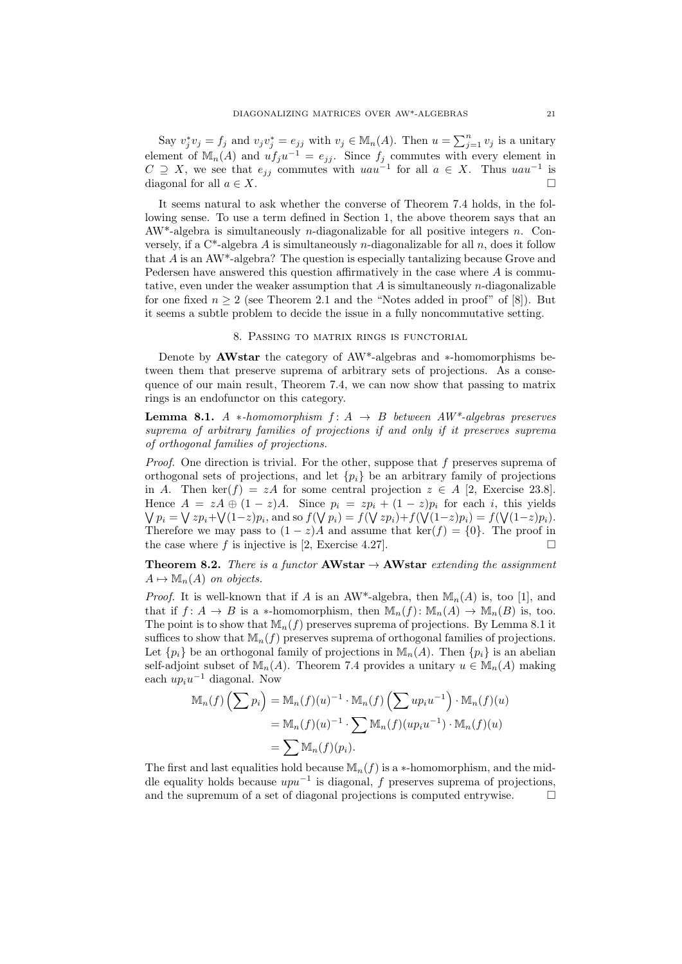Say  $v_j^* v_j = f_j$  and  $v_j v_j^* = e_{jj}$  with  $v_j \in M_n(A)$ . Then  $u = \sum_{j=1}^n v_j$  is a unitary element of  $\mathbb{M}_{n}(A)$  and  $uf_ju^{-1} = e_{jj}$ . Since  $f_j$  commutes with every element in  $C \supseteq X$ , we see that  $e_{jj}$  commutes with  $uau^{-1}$  for all  $a \in X$ . Thus  $uau^{-1}$  is diagonal for all  $a \in X$ .

It seems natural to ask whether the converse of Theorem 7.4 holds, in the following sense. To use a term defined in Section 1, the above theorem says that an  $AW^*$ -algebra is simultaneously *n*-diagonalizable for all positive integers *n*. Conversely, if a  $C^*$ -algebra A is simultaneously *n*-diagonalizable for all *n*, does it follow that A is an AW\*-algebra? The question is especially tantalizing because Grove and Pedersen have answered this question affirmatively in the case where A is commutative, even under the weaker assumption that  $\tilde{A}$  is simultaneously n-diagonalizable for one fixed  $n \geq 2$  (see Theorem 2.1 and the "Notes added in proof" of [8]). But it seems a subtle problem to decide the issue in a fully noncommutative setting.

## 8. Passing to matrix rings is functorial

Denote by AWstar the category of AW\*-algebras and ∗-homomorphisms between them that preserve suprema of arbitrary sets of projections. As a consequence of our main result, Theorem 7.4, we can now show that passing to matrix rings is an endofunctor on this category.

**Lemma 8.1.** A \*-homomorphism  $f: A \rightarrow B$  between  $AW^*$ -algebras preserves suprema of arbitrary families of projections if and only if it preserves suprema of orthogonal families of projections.

Proof. One direction is trivial. For the other, suppose that f preserves suprema of orthogonal sets of projections, and let  $\{p_i\}$  be an arbitrary family of projections in A. Then ker(f) = zA for some central projection  $z \in A$  [2, Exercise 23.8]. Hence  $A = zA \oplus (1-z)A$ . Since  $p_i = zp_i + (1-z)p_i$  for each i, this yields  $\bigvee p_i = \bigvee z p_i + \bigvee (1-z) p_i$ , and so  $f(\bigvee p_i) = f(\bigvee z p_i) + f(\bigvee (1-z) p_i) = f(\bigvee (1-z) p_i)$ . Therefore we may pass to  $(1 - z)A$  and assume that ker(f) = {0}. The proof in the case where f is injective is [2, Exercise 4.27].

**Theorem 8.2.** There is a functor **AWstar**  $\rightarrow$  **AWstar** extending the assignment  $A \mapsto \mathbb{M}_n(A)$  on objects.

*Proof.* It is well-known that if A is an AW\*-algebra, then  $\mathbb{M}_n(A)$  is, too [1], and that if  $f: A \to B$  is a \*-homomorphism, then  $\mathbb{M}_n(f): \mathbb{M}_n(A) \to \mathbb{M}_n(B)$  is, too. The point is to show that  $\mathbb{M}_n(f)$  preserves suprema of projections. By Lemma 8.1 it suffices to show that  $\mathbb{M}_n(f)$  preserves suprema of orthogonal families of projections. Let  $\{p_i\}$  be an orthogonal family of projections in  $\mathbb{M}_n(A)$ . Then  $\{p_i\}$  is an abelian self-adjoint subset of  $\mathbb{M}_n(A)$ . Theorem 7.4 provides a unitary  $u \in \mathbb{M}_n(A)$  making each  $up_i u^{-1}$  diagonal. Now

$$
\mathbb{M}_n(f) \left( \sum p_i \right) = \mathbb{M}_n(f)(u)^{-1} \cdot \mathbb{M}_n(f) \left( \sum u p_i u^{-1} \right) \cdot \mathbb{M}_n(f)(u)
$$
  
=  $\mathbb{M}_n(f)(u)^{-1} \cdot \sum \mathbb{M}_n(f)(u p_i u^{-1}) \cdot \mathbb{M}_n(f)(u)$   
=  $\sum \mathbb{M}_n(f)(p_i).$ 

The first and last equalities hold because  $\mathbb{M}_n(f)$  is a \*-homomorphism, and the middle equality holds because  $upu^{-1}$  is diagonal, f preserves suprema of projections, and the supremum of a set of diagonal projections is computed entrywise.  $\Box$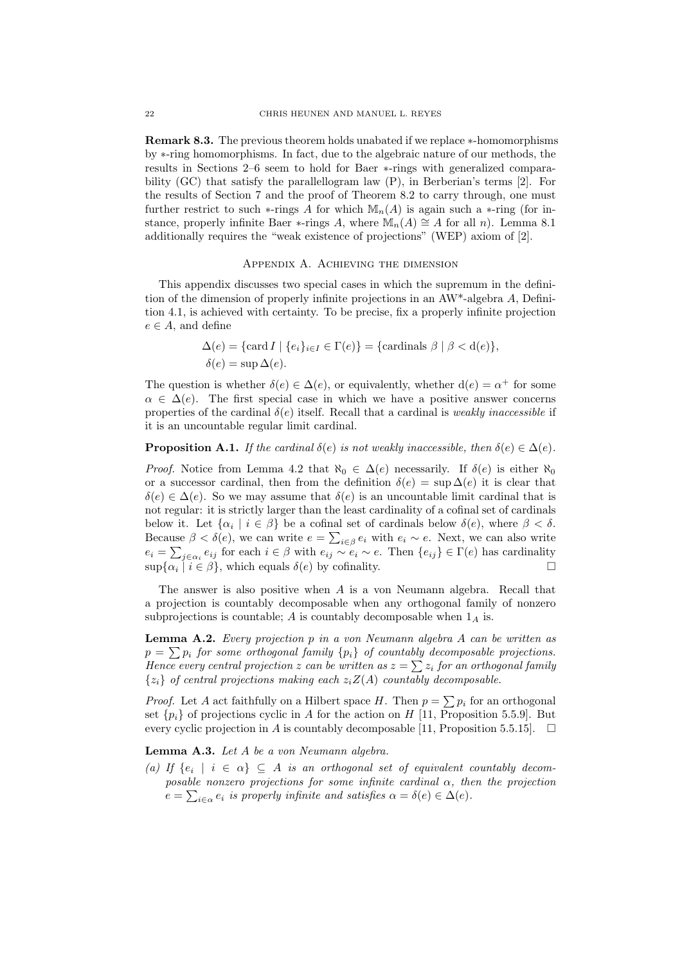Remark 8.3. The previous theorem holds unabated if we replace ∗-homomorphisms by ∗-ring homomorphisms. In fact, due to the algebraic nature of our methods, the results in Sections 2–6 seem to hold for Baer ∗-rings with generalized comparability (GC) that satisfy the parallellogram law (P), in Berberian's terms [2]. For the results of Section 7 and the proof of Theorem 8.2 to carry through, one must further restrict to such  $\ast$ -rings A for which  $\mathbb{M}_n(A)$  is again such a  $\ast$ -ring (for instance, properly infinite Baer ∗-rings A, where  $\mathbb{M}_n(A) \cong A$  for all n). Lemma 8.1 additionally requires the "weak existence of projections" (WEP) axiom of [2].

## Appendix A. Achieving the dimension

This appendix discusses two special cases in which the supremum in the definition of the dimension of properly infinite projections in an AW\*-algebra A, Definition 4.1, is achieved with certainty. To be precise, fix a properly infinite projection  $e \in A$ , and define

$$
\Delta(e) = \{ \text{card } I \mid \{e_i\}_{i \in I} \in \Gamma(e) \} = \{ \text{cardinals } \beta \mid \beta < d(e) \},
$$
  

$$
\delta(e) = \sup \Delta(e).
$$

The question is whether  $\delta(e) \in \Delta(e)$ , or equivalently, whether  $d(e) = \alpha^+$  for some  $\alpha \in \Delta(e)$ . The first special case in which we have a positive answer concerns properties of the cardinal  $\delta(e)$  itself. Recall that a cardinal is *weakly inaccessible* if it is an uncountable regular limit cardinal.

**Proposition A.1.** If the cardinal  $\delta(e)$  is not weakly inaccessible, then  $\delta(e) \in \Delta(e)$ .

*Proof.* Notice from Lemma 4.2 that  $\aleph_0 \in \Delta(e)$  necessarily. If  $\delta(e)$  is either  $\aleph_0$ or a successor cardinal, then from the definition  $\delta(e) = \sup \Delta(e)$  it is clear that  $\delta(e) \in \Delta(e)$ . So we may assume that  $\delta(e)$  is an uncountable limit cardinal that is not regular: it is strictly larger than the least cardinality of a cofinal set of cardinals below it. Let  $\{\alpha_i \mid i \in \beta\}$  be a cofinal set of cardinals below  $\delta(e)$ , where  $\beta < \delta$ . Because  $\beta < \delta(e)$ , we can write  $e = \sum_{i \in \beta} e_i$  with  $e_i \sim e$ . Next, we can also write  $e_i = \sum_{j \in \alpha_i} e_{ij}$  for each  $i \in \beta$  with  $e_{ij} \sim e_i \sim e$ . Then  $\{e_{ij}\} \in \Gamma(e)$  has cardinality  $\sup{\{\alpha_i \mid i \in \beta\}}$ , which equals  $\delta(e)$  by cofinality.

The answer is also positive when A is a von Neumann algebra. Recall that a projection is countably decomposable when any orthogonal family of nonzero subprojections is countable;  $A$  is countably decomposable when  $1_A$  is.

**Lemma A.2.** Every projection  $p$  in a von Neumann algebra  $A$  can be written as  $p = \sum p_i$  for some orthogonal family  $\{p_i\}$  of countably decomposable projections. Hence every central projection z can be written as  $z = \sum z_i$  for an orthogonal family  ${z_i}$  of central projections making each  $z_iZ(A)$  countably decomposable.

*Proof.* Let A act faithfully on a Hilbert space H. Then  $p = \sum p_i$  for an orthogonal set  $\{p_i\}$  of projections cyclic in A for the action on H [11, Proposition 5.5.9]. But every cyclic projection in A is countably decomposable [11, Proposition 5.5.15].  $\Box$ 

Lemma A.3. Let A be a von Neumann algebra.

(a) If  $\{e_i \mid i \in \alpha\} \subseteq A$  is an orthogonal set of equivalent countably decomposable nonzero projections for some infinite cardinal  $\alpha$ , then the projection  $e = \sum_{i \in \alpha} e_i$  is properly infinite and satisfies  $\alpha = \delta(e) \in \Delta(e)$ .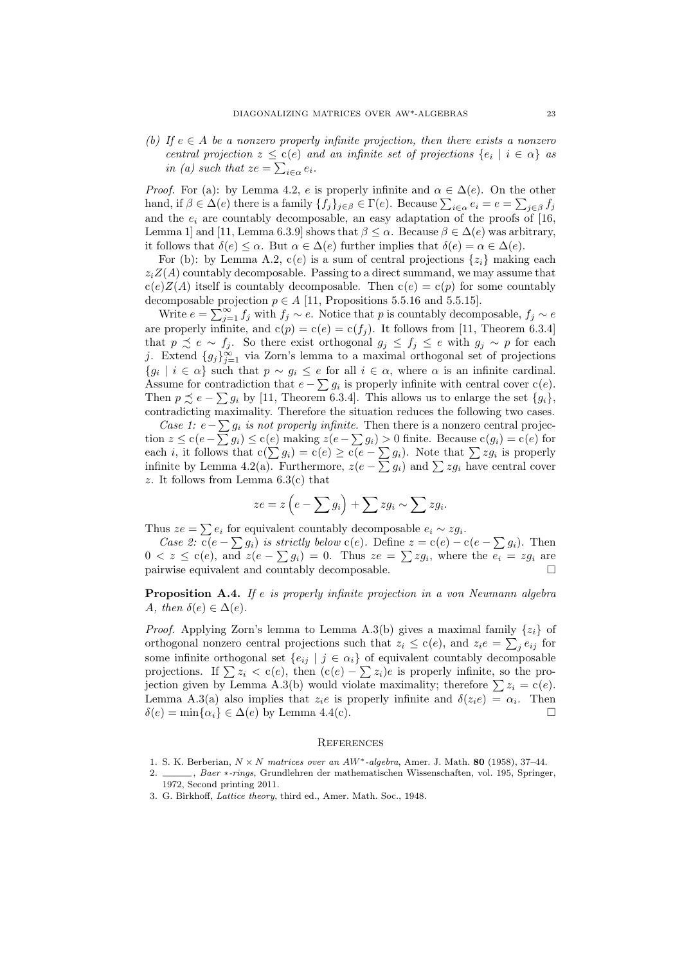(b) If  $e \in A$  be a nonzero properly infinite projection, then there exists a nonzero central projection  $z \leq c(e)$  and an infinite set of projections  $\{e_i \mid i \in \alpha\}$  as in (a) such that  $ze = \sum_{i \in \alpha} e_i$ .

*Proof.* For (a): by Lemma 4.2, e is properly infinite and  $\alpha \in \Delta(e)$ . On the other hand, if  $\beta \in \Delta(e)$  there is a family  $\{f_j\}_{j\in\beta} \in \Gamma(e)$ . Because  $\sum_{i\in\alpha} e_i = e = \sum_{j\in\beta} f_j$ and the  $e_i$  are countably decomposable, an easy adaptation of the proofs of [16, Lemma 1] and [11, Lemma 6.3.9] shows that  $\beta \leq \alpha$ . Because  $\beta \in \Delta(e)$  was arbitrary, it follows that  $\delta(e) \leq \alpha$ . But  $\alpha \in \Delta(e)$  further implies that  $\delta(e) = \alpha \in \Delta(e)$ .

For (b): by Lemma A.2,  $c(e)$  is a sum of central projections  $\{z_i\}$  making each  $z_iZ(A)$  countably decomposable. Passing to a direct summand, we may assume that  $c(e)Z(A)$  itself is countably decomposable. Then  $c(e) = c(p)$  for some countably decomposable projection  $p \in A$  [11, Propositions 5.5.16 and 5.5.15].

Write  $e = \sum_{j=1}^{\infty} f_j$  with  $f_j \sim e$ . Notice that p is countably decomposable,  $f_j \sim e$ are properly infinite, and  $c(p) = c(e) = c(f_i)$ . It follows from [11, Theorem 6.3.4] that  $p \precsim e \sim f_j$ . So there exist orthogonal  $g_j \leq f_j \leq e$  with  $g_j \sim p$  for each j. Extend  ${g_j}_{j=1}^{\infty}$  via Zorn's lemma to a maximal orthogonal set of projections  ${g_i \mid i \in \alpha}$  such that  $p \sim g_i \leq e$  for all  $i \in \alpha$ , where  $\alpha$  is an infinite cardinal. Assume for contradiction that  $e - \sum g_i$  is properly infinite with central cover  $c(e)$ . Then  $p \precsim e - \sum g_i$  by [11, Theorem 6.3.4]. This allows us to enlarge the set  $\{g_i\}$ , contradicting maximality. Therefore the situation reduces the following two cases.

Case 1:  $e - \sum g_i$  is not properly infinite. Then there is a nonzero central projection  $z \le c(e - \sum g_i) \le c(e)$  making  $z(e - \sum g_i) > 0$  finite. Because  $c(g_i) = c(e)$  for each *i*, it follows that  $c(\sum g_i) = c(e) \geq c(e - \sum g_i)$ . Note that  $\sum zg_i$  is properly infinite by Lemma 4.2(a). Furthermore,  $z(e - \sum g_i)$  and  $\sum zg_i$  have central cover z. It follows from Lemma  $6.3(c)$  that

$$
ze = z\left(e - \sum g_i\right) + \sum zg_i \sim \sum zg_i.
$$

Thus  $ze = \sum e_i$  for equivalent countably decomposable  $e_i \sim zg_i$ .

Case 2:  $c(e - \sum g_i)$  is strictly below  $c(e)$ . Define  $z = c(e) - c(e - \sum g_i)$ . Then  $0 < z \leq c(e)$ , and  $z(e - \sum g_i) = 0$ . Thus  $ze = \sum zg_i$ , where the  $e_i = zg_i$  are pairwise equivalent and countably decomposable.  $\Box$ 

**Proposition A.4.** If e is properly infinite projection in a von Neumann algebra A, then  $\delta(e) \in \Delta(e)$ .

*Proof.* Applying Zorn's lemma to Lemma A.3(b) gives a maximal family  $\{z_i\}$  of orthogonal nonzero central projections such that  $z_i \leq c(e)$ , and  $z_i e = \sum_j e_{ij}$  for some infinite orthogonal set  $\{e_{ij} | j \in \alpha_i\}$  of equivalent countably decomposable projections. If  $\sum z_i < c(e)$ , then  $(c(e) - \sum z_i)e$  is properly infinite, so the projection given by Lemma A.3(b) would violate maximality; therefore  $\sum z_i = c(e)$ . Lemma A.3(a) also implies that  $z_i e$  is properly infinite and  $\delta(z_i e) = \alpha_i$ . Then  $\delta(e) = \min\{\alpha_i\} \in \Delta(e)$  by Lemma 4.4(c).

### **REFERENCES**

- 1. S. K. Berberian,  $N \times N$  matrices over an  $AW^*$ -algebra, Amer. J. Math. 80 (1958), 37–44.
- 2. , Baer ∗-rings, Grundlehren der mathematischen Wissenschaften, vol. 195, Springer, 1972, Second printing 2011.
- 3. G. Birkhoff, Lattice theory, third ed., Amer. Math. Soc., 1948.